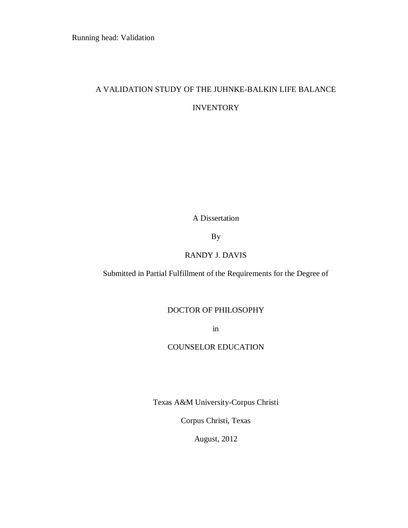# A VALIDATION STUDY OF THE JUHNKE-BALKIN LIFE BALANCE **INVENTORY**

A Dissertation

By

### RANDY J. DAVIS

Submitted in Partial Fulfillment of the Requirements for the Degree of

### DOCTOR OF PHILOSOPHY

in

## COUNSELOR EDUCATION

Texas A&M University-Corpus Christi

Corpus Christi, Texas

August, 2012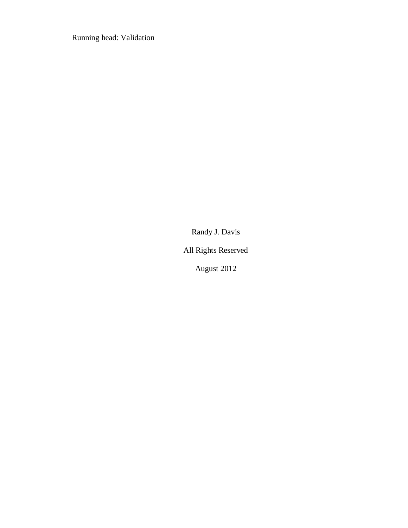Randy J. Davis

All Rights Reserved

August 2012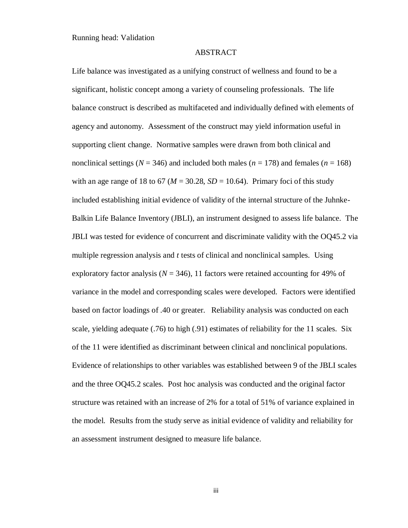#### ABSTRACT

Life balance was investigated as a unifying construct of wellness and found to be a significant, holistic concept among a variety of counseling professionals. The life balance construct is described as multifaceted and individually defined with elements of agency and autonomy. Assessment of the construct may yield information useful in supporting client change. Normative samples were drawn from both clinical and nonclinical settings ( $N = 346$ ) and included both males ( $n = 178$ ) and females ( $n = 168$ ) with an age range of 18 to 67 ( $M = 30.28$ ,  $SD = 10.64$ ). Primary foci of this study included establishing initial evidence of validity of the internal structure of the Juhnke-Balkin Life Balance Inventory (JBLI), an instrument designed to assess life balance. The JBLI was tested for evidence of concurrent and discriminate validity with the OQ45.2 via multiple regression analysis and *t* tests of clinical and nonclinical samples. Using exploratory factor analysis ( $N = 346$ ), 11 factors were retained accounting for 49% of variance in the model and corresponding scales were developed. Factors were identified based on factor loadings of .40 or greater. Reliability analysis was conducted on each scale, yielding adequate (.76) to high (.91) estimates of reliability for the 11 scales. Six of the 11 were identified as discriminant between clinical and nonclinical populations. Evidence of relationships to other variables was established between 9 of the JBLI scales and the three OQ45.2 scales. Post hoc analysis was conducted and the original factor structure was retained with an increase of 2% for a total of 51% of variance explained in the model. Results from the study serve as initial evidence of validity and reliability for an assessment instrument designed to measure life balance.

iii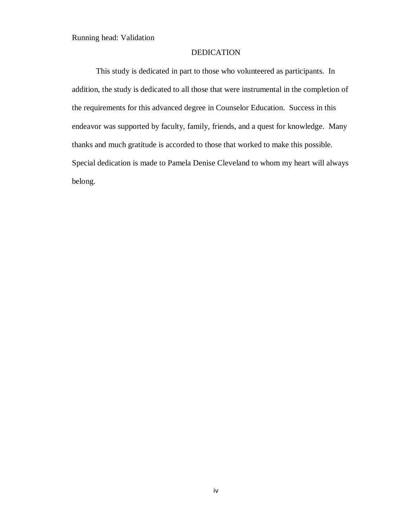#### DEDICATION

This study is dedicated in part to those who volunteered as participants. In addition, the study is dedicated to all those that were instrumental in the completion of the requirements for this advanced degree in Counselor Education. Success in this endeavor was supported by faculty, family, friends, and a quest for knowledge. Many thanks and much gratitude is accorded to those that worked to make this possible. Special dedication is made to Pamela Denise Cleveland to whom my heart will always belong.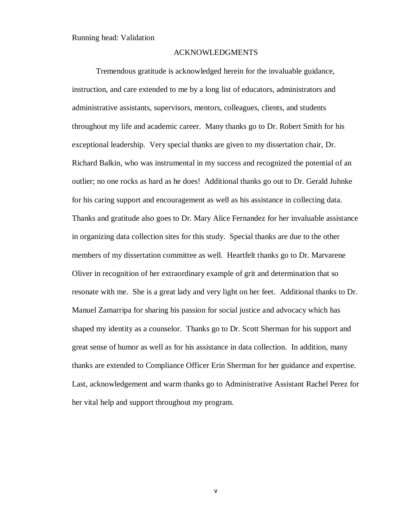#### ACKNOWLEDGMENTS

Tremendous gratitude is acknowledged herein for the invaluable guidance, instruction, and care extended to me by a long list of educators, administrators and administrative assistants, supervisors, mentors, colleagues, clients, and students throughout my life and academic career. Many thanks go to Dr. Robert Smith for his exceptional leadership. Very special thanks are given to my dissertation chair, Dr. Richard Balkin, who was instrumental in my success and recognized the potential of an outlier; no one rocks as hard as he does! Additional thanks go out to Dr. Gerald Juhnke for his caring support and encouragement as well as his assistance in collecting data. Thanks and gratitude also goes to Dr. Mary Alice Fernandez for her invaluable assistance in organizing data collection sites for this study. Special thanks are due to the other members of my dissertation committee as well. Heartfelt thanks go to Dr. Marvarene Oliver in recognition of her extraordinary example of grit and determination that so resonate with me. She is a great lady and very light on her feet. Additional thanks to Dr. Manuel Zamarripa for sharing his passion for social justice and advocacy which has shaped my identity as a counselor. Thanks go to Dr. Scott Sherman for his support and great sense of humor as well as for his assistance in data collection. In addition, many thanks are extended to Compliance Officer Erin Sherman for her guidance and expertise. Last, acknowledgement and warm thanks go to Administrative Assistant Rachel Perez for her vital help and support throughout my program.

v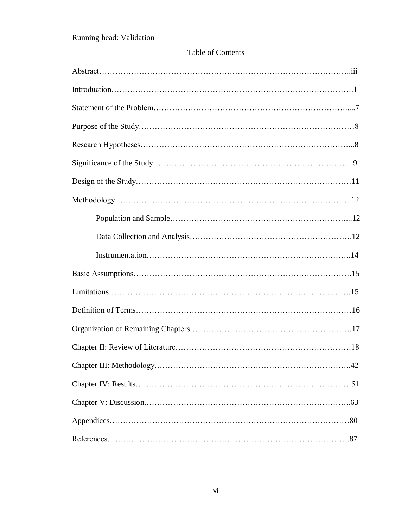### Table of Contents

| $\dots$ 42 |
|------------|
|            |
|            |
|            |
|            |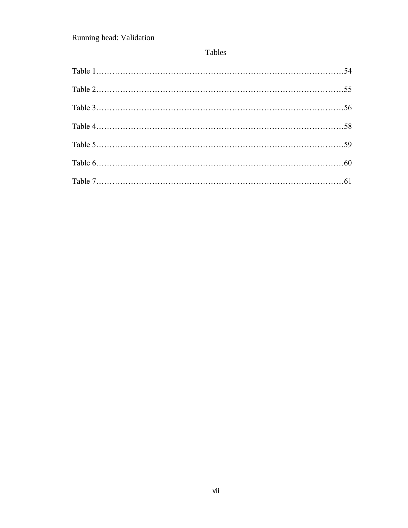## Tables

| Table 2. 55 |  |
|-------------|--|
|             |  |
|             |  |
|             |  |
|             |  |
|             |  |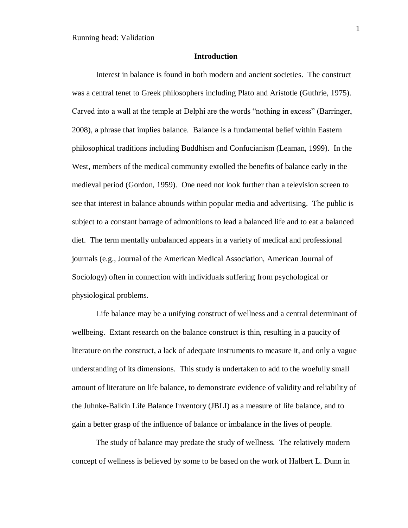#### **Introduction**

Interest in balance is found in both modern and ancient societies. The construct was a central tenet to Greek philosophers including Plato and Aristotle (Guthrie, 1975). Carved into a wall at the temple at Delphi are the words "nothing in excess" (Barringer, 2008), a phrase that implies balance. Balance is a fundamental belief within Eastern philosophical traditions including Buddhism and Confucianism (Leaman, 1999). In the West, members of the medical community extolled the benefits of balance early in the medieval period (Gordon, 1959). One need not look further than a television screen to see that interest in balance abounds within popular media and advertising. The public is subject to a constant barrage of admonitions to lead a balanced life and to eat a balanced diet. The term mentally unbalanced appears in a variety of medical and professional journals (e.g., Journal of the American Medical Association, American Journal of Sociology) often in connection with individuals suffering from psychological or physiological problems.

Life balance may be a unifying construct of wellness and a central determinant of wellbeing. Extant research on the balance construct is thin, resulting in a paucity of literature on the construct, a lack of adequate instruments to measure it, and only a vague understanding of its dimensions. This study is undertaken to add to the woefully small amount of literature on life balance, to demonstrate evidence of validity and reliability of the Juhnke-Balkin Life Balance Inventory (JBLI) as a measure of life balance, and to gain a better grasp of the influence of balance or imbalance in the lives of people.

The study of balance may predate the study of wellness. The relatively modern concept of wellness is believed by some to be based on the work of Halbert L. Dunn in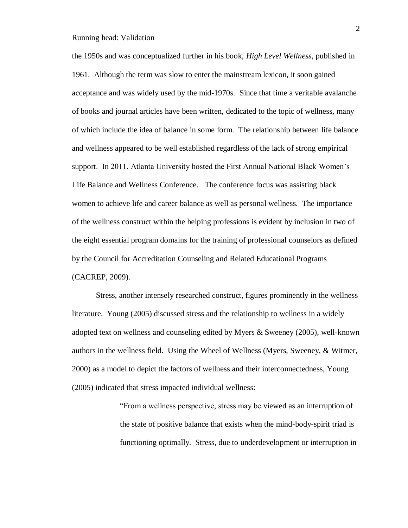the 1950s and was conceptualized further in his book, *High Level Wellness*, published in 1961. Although the term was slow to enter the mainstream lexicon, it soon gained acceptance and was widely used by the mid-1970s. Since that time a veritable avalanche of books and journal articles have been written, dedicated to the topic of wellness, many of which include the idea of balance in some form. The relationship between life balance and wellness appeared to be well established regardless of the lack of strong empirical support. In 2011, Atlanta University hosted the First Annual National Black Women's Life Balance and Wellness Conference. The conference focus was assisting black women to achieve life and career balance as well as personal wellness. The importance of the wellness construct within the helping professions is evident by inclusion in two of the eight essential program domains for the training of professional counselors as defined by the Council for Accreditation Counseling and Related Educational Programs (CACREP, 2009).

Stress, another intensely researched construct, figures prominently in the wellness literature. Young (2005) discussed stress and the relationship to wellness in a widely adopted text on wellness and counseling edited by Myers & Sweeney (2005), well-known authors in the wellness field. Using the Wheel of Wellness (Myers, Sweeney, & Witmer, 2000) as a model to depict the factors of wellness and their interconnectedness, Young (2005) indicated that stress impacted individual wellness:

> "From a wellness perspective, stress may be viewed as an interruption of the state of positive balance that exists when the mind-body-spirit triad is functioning optimally. Stress, due to underdevelopment or interruption in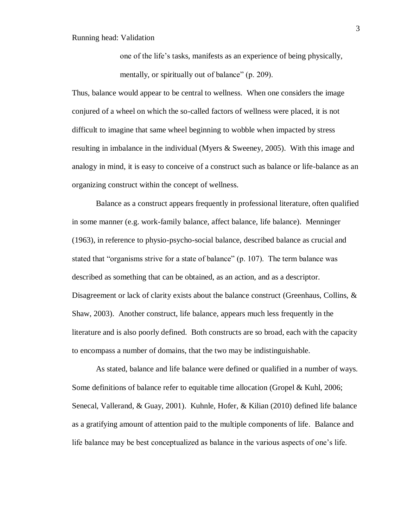one of the life's tasks, manifests as an experience of being physically, mentally, or spiritually out of balance" (p. 209).

Thus, balance would appear to be central to wellness. When one considers the image conjured of a wheel on which the so-called factors of wellness were placed, it is not difficult to imagine that same wheel beginning to wobble when impacted by stress resulting in imbalance in the individual (Myers & Sweeney, 2005). With this image and analogy in mind, it is easy to conceive of a construct such as balance or life-balance as an organizing construct within the concept of wellness.

Balance as a construct appears frequently in professional literature, often qualified in some manner (e.g. work-family balance, affect balance, life balance). Menninger (1963), in reference to physio-psycho-social balance, described balance as crucial and stated that "organisms strive for a state of balance" (p. 107). The term balance was described as something that can be obtained, as an action, and as a descriptor. Disagreement or lack of clarity exists about the balance construct (Greenhaus, Collins, & Shaw, 2003). Another construct, life balance, appears much less frequently in the literature and is also poorly defined. Both constructs are so broad, each with the capacity to encompass a number of domains, that the two may be indistinguishable.

As stated, balance and life balance were defined or qualified in a number of ways. Some definitions of balance refer to equitable time allocation (Gropel & Kuhl, 2006; Senecal, Vallerand, & Guay, 2001). Kuhnle, Hofer, & Kilian (2010) defined life balance as a gratifying amount of attention paid to the multiple components of life. Balance and life balance may be best conceptualized as balance in the various aspects of one's life.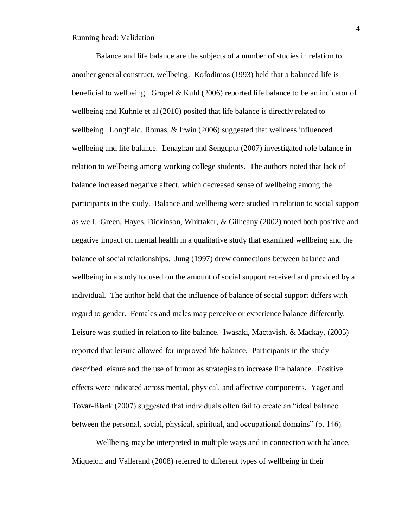Balance and life balance are the subjects of a number of studies in relation to another general construct, wellbeing. Kofodimos (1993) held that a balanced life is beneficial to wellbeing. Gropel & Kuhl  $(2006)$  reported life balance to be an indicator of wellbeing and Kuhnle et al (2010) posited that life balance is directly related to wellbeing. Longfield, Romas, & Irwin (2006) suggested that wellness influenced wellbeing and life balance. Lenaghan and Sengupta (2007) investigated role balance in relation to wellbeing among working college students. The authors noted that lack of balance increased negative affect, which decreased sense of wellbeing among the participants in the study. Balance and wellbeing were studied in relation to social support as well. Green, Hayes, Dickinson, Whittaker, & Gilheany (2002) noted both positive and negative impact on mental health in a qualitative study that examined wellbeing and the balance of social relationships. Jung (1997) drew connections between balance and wellbeing in a study focused on the amount of social support received and provided by an individual. The author held that the influence of balance of social support differs with regard to gender. Females and males may perceive or experience balance differently. Leisure was studied in relation to life balance. Iwasaki, Mactavish, & Mackay, (2005) reported that leisure allowed for improved life balance. Participants in the study described leisure and the use of humor as strategies to increase life balance. Positive effects were indicated across mental, physical, and affective components. Yager and Tovar-Blank (2007) suggested that individuals often fail to create an "ideal balance between the personal, social, physical, spiritual, and occupational domains" (p. 146).

Wellbeing may be interpreted in multiple ways and in connection with balance. Miquelon and Vallerand (2008) referred to different types of wellbeing in their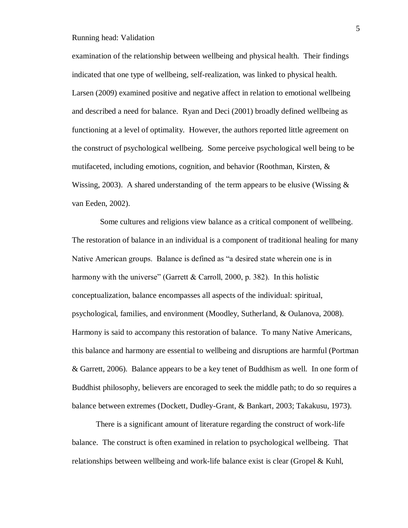examination of the relationship between wellbeing and physical health. Their findings indicated that one type of wellbeing, self-realization, was linked to physical health. Larsen (2009) examined positive and negative affect in relation to emotional wellbeing and described a need for balance. Ryan and Deci (2001) broadly defined wellbeing as functioning at a level of optimality. However, the authors reported little agreement on the construct of psychological wellbeing. Some perceive psychological well being to be mutifaceted, including emotions, cognition, and behavior (Roothman, Kirsten, & Wissing, 2003). A shared understanding of the term appears to be elusive (Wissing  $\&$ van Eeden, 2002).

 Some cultures and religions view balance as a critical component of wellbeing. The restoration of balance in an individual is a component of traditional healing for many Native American groups. Balance is defined as "a desired state wherein one is in harmony with the universe" (Garrett & Carroll, 2000, p. 382). In this holistic conceptualization, balance encompasses all aspects of the individual: spiritual, psychological, families, and environment (Moodley, Sutherland, & Oulanova, 2008). Harmony is said to accompany this restoration of balance. To many Native Americans, this balance and harmony are essential to wellbeing and disruptions are harmful (Portman & Garrett, 2006). Balance appears to be a key tenet of Buddhism as well. In one form of Buddhist philosophy, believers are encoraged to seek the middle path; to do so requires a balance between extremes (Dockett, Dudley-Grant, & Bankart, 2003; Takakusu, 1973).

There is a significant amount of literature regarding the construct of work-life balance. The construct is often examined in relation to psychological wellbeing. That relationships between wellbeing and work-life balance exist is clear (Gropel & Kuhl,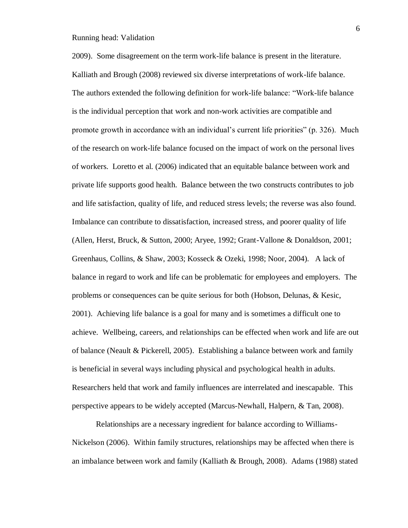2009). Some disagreement on the term work-life balance is present in the literature. Kalliath and Brough (2008) reviewed six diverse interpretations of work-life balance. The authors extended the following definition for work-life balance: "Work-life balance is the individual perception that work and non-work activities are compatible and promote growth in accordance with an individual's current life priorities" (p. 326). Much of the research on work-life balance focused on the impact of work on the personal lives of workers. Loretto et al. (2006) indicated that an equitable balance between work and private life supports good health. Balance between the two constructs contributes to job and life satisfaction, quality of life, and reduced stress levels; the reverse was also found. Imbalance can contribute to dissatisfaction, increased stress, and poorer quality of life (Allen, Herst, Bruck, & Sutton, 2000; Aryee, 1992; Grant-Vallone & Donaldson, 2001; Greenhaus, Collins, & Shaw, 2003; Kosseck & Ozeki, 1998; Noor, 2004). A lack of balance in regard to work and life can be problematic for employees and employers. The problems or consequences can be quite serious for both (Hobson, Delunas, & Kesic, 2001). Achieving life balance is a goal for many and is sometimes a difficult one to achieve. Wellbeing, careers, and relationships can be effected when work and life are out of balance (Neault & Pickerell, 2005). Establishing a balance between work and family is beneficial in several ways including physical and psychological health in adults. Researchers held that work and family influences are interrelated and inescapable. This perspective appears to be widely accepted (Marcus-Newhall, Halpern, & Tan, 2008).

Relationships are a necessary ingredient for balance according to Williams-Nickelson (2006). Within family structures, relationships may be affected when there is an imbalance between work and family (Kalliath & Brough, 2008). Adams (1988) stated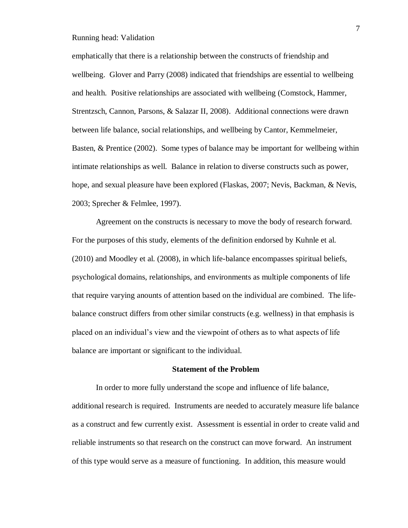emphatically that there is a relationship between the constructs of friendship and wellbeing. Glover and Parry (2008) indicated that friendships are essential to wellbeing and health. Positive relationships are associated with wellbeing (Comstock, Hammer, Strentzsch, Cannon, Parsons, & Salazar II, 2008). Additional connections were drawn between life balance, social relationships, and wellbeing by Cantor, Kemmelmeier, Basten, & Prentice (2002). Some types of balance may be important for wellbeing within intimate relationships as well. Balance in relation to diverse constructs such as power, hope, and sexual pleasure have been explored (Flaskas, 2007; Nevis, Backman, & Nevis, 2003; Sprecher & Felmlee, 1997).

Agreement on the constructs is necessary to move the body of research forward. For the purposes of this study, elements of the definition endorsed by Kuhnle et al. (2010) and Moodley et al. (2008), in which life-balance encompasses spiritual beliefs, psychological domains, relationships, and environments as multiple components of life that require varying anounts of attention based on the individual are combined. The lifebalance construct differs from other similar constructs (e.g. wellness) in that emphasis is placed on an individual's view and the viewpoint of others as to what aspects of life balance are important or significant to the individual.

#### **Statement of the Problem**

In order to more fully understand the scope and influence of life balance, additional research is required. Instruments are needed to accurately measure life balance as a construct and few currently exist. Assessment is essential in order to create valid and reliable instruments so that research on the construct can move forward. An instrument of this type would serve as a measure of functioning. In addition, this measure would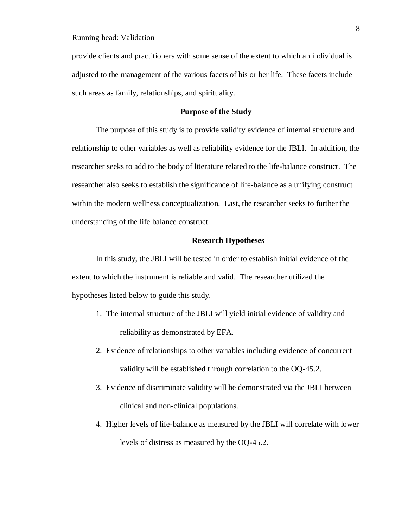provide clients and practitioners with some sense of the extent to which an individual is adjusted to the management of the various facets of his or her life. These facets include such areas as family, relationships, and spirituality.

#### **Purpose of the Study**

The purpose of this study is to provide validity evidence of internal structure and relationship to other variables as well as reliability evidence for the JBLI. In addition, the researcher seeks to add to the body of literature related to the life-balance construct. The researcher also seeks to establish the significance of life-balance as a unifying construct within the modern wellness conceptualization. Last, the researcher seeks to further the understanding of the life balance construct.

#### **Research Hypotheses**

In this study, the JBLI will be tested in order to establish initial evidence of the extent to which the instrument is reliable and valid. The researcher utilized the hypotheses listed below to guide this study.

- 1. The internal structure of the JBLI will yield initial evidence of validity and reliability as demonstrated by EFA.
- 2. Evidence of relationships to other variables including evidence of concurrent validity will be established through correlation to the OQ-45.2.
- 3. Evidence of discriminate validity will be demonstrated via the JBLI between clinical and non-clinical populations.
- 4. Higher levels of life-balance as measured by the JBLI will correlate with lower levels of distress as measured by the OQ-45.2.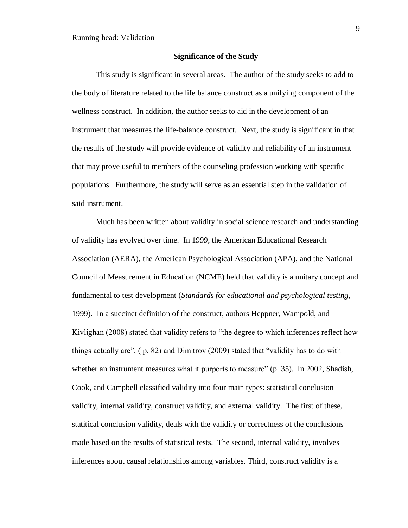#### **Significance of the Study**

This study is significant in several areas. The author of the study seeks to add to the body of literature related to the life balance construct as a unifying component of the wellness construct. In addition, the author seeks to aid in the development of an instrument that measures the life-balance construct. Next, the study is significant in that the results of the study will provide evidence of validity and reliability of an instrument that may prove useful to members of the counseling profession working with specific populations. Furthermore, the study will serve as an essential step in the validation of said instrument.

Much has been written about validity in social science research and understanding of validity has evolved over time. In 1999, the American Educational Research Association (AERA), the American Psychological Association (APA), and the National Council of Measurement in Education (NCME) held that validity is a unitary concept and fundamental to test development (*Standards for educational and psychological testing*, 1999). In a succinct definition of the construct, authors Heppner, Wampold, and Kivlighan (2008) stated that validity refers to "the degree to which inferences reflect how things actually are", ( p. 82) and Dimitrov (2009) stated that "validity has to do with whether an instrument measures what it purports to measure" (p. 35). In 2002, Shadish, Cook, and Campbell classified validity into four main types: statistical conclusion validity, internal validity, construct validity, and external validity. The first of these, statitical conclusion validity, deals with the validity or correctness of the conclusions made based on the results of statistical tests. The second, internal validity, involves inferences about causal relationships among variables. Third, construct validity is a

9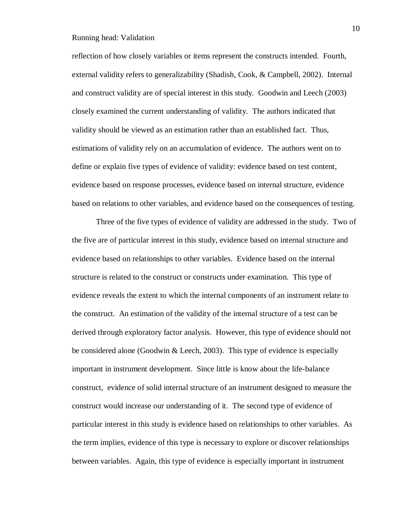reflection of how closely variables or items represent the constructs intended. Fourth, external validity refers to generalizability (Shadish, Cook, & Campbell, 2002). Internal and construct validity are of special interest in this study. Goodwin and Leech (2003) closely examined the current understanding of validity. The authors indicated that validity should be viewed as an estimation rather than an established fact. Thus, estimations of validity rely on an accumulation of evidence. The authors went on to define or explain five types of evidence of validity: evidence based on test content, evidence based on response processes, evidence based on internal structure, evidence based on relations to other variables, and evidence based on the consequences of testing.

Three of the five types of evidence of validity are addressed in the study. Two of the five are of particular interest in this study, evidence based on internal structure and evidence based on relationships to other variables. Evidence based on the internal structure is related to the construct or constructs under examination. This type of evidence reveals the extent to which the internal components of an instrument relate to the construct. An estimation of the validity of the internal structure of a test can be derived through exploratory factor analysis. However, this type of evidence should not be considered alone (Goodwin & Leech, 2003). This type of evidence is especially important in instrument development. Since little is know about the life-balance construct, evidence of solid internal structure of an instrument designed to measure the construct would increase our understanding of it. The second type of evidence of particular interest in this study is evidence based on relationships to other variables. As the term implies, evidence of this type is necessary to explore or discover relationships between variables. Again, this type of evidence is especially important in instrument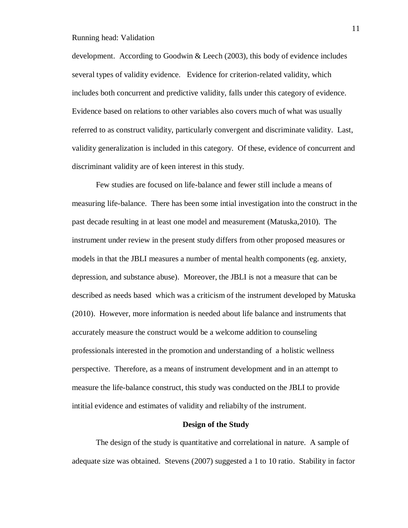development. According to Goodwin & Leech (2003), this body of evidence includes several types of validity evidence. Evidence for criterion-related validity, which includes both concurrent and predictive validity, falls under this category of evidence. Evidence based on relations to other variables also covers much of what was usually referred to as construct validity, particularly convergent and discriminate validity. Last, validity generalization is included in this category. Of these, evidence of concurrent and discriminant validity are of keen interest in this study.

Few studies are focused on life-balance and fewer still include a means of measuring life-balance. There has been some intial investigation into the construct in the past decade resulting in at least one model and measurement (Matuska,2010). The instrument under review in the present study differs from other proposed measures or models in that the JBLI measures a number of mental health components (eg. anxiety, depression, and substance abuse). Moreover, the JBLI is not a measure that can be described as needs based which was a criticism of the instrument developed by Matuska (2010). However, more information is needed about life balance and instruments that accurately measure the construct would be a welcome addition to counseling professionals interested in the promotion and understanding of a holistic wellness perspective. Therefore, as a means of instrument development and in an attempt to measure the life-balance construct, this study was conducted on the JBLI to provide intitial evidence and estimates of validity and reliabilty of the instrument.

#### **Design of the Study**

The design of the study is quantitative and correlational in nature. A sample of adequate size was obtained. Stevens (2007) suggested a 1 to 10 ratio. Stability in factor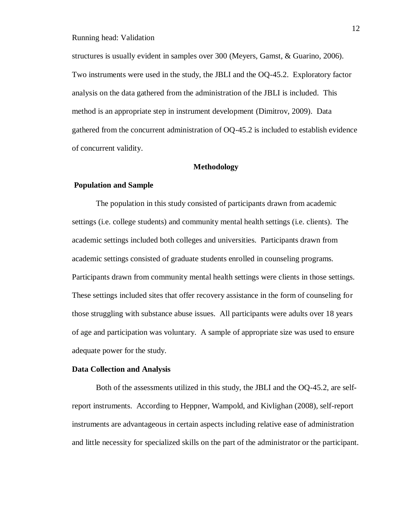structures is usually evident in samples over 300 (Meyers, Gamst, & Guarino, 2006). Two instruments were used in the study, the JBLI and the OQ-45.2. Exploratory factor analysis on the data gathered from the administration of the JBLI is included. This method is an appropriate step in instrument development (Dimitrov, 2009). Data gathered from the concurrent administration of OQ-45.2 is included to establish evidence of concurrent validity.

#### **Methodology**

#### **Population and Sample**

The population in this study consisted of participants drawn from academic settings (i.e. college students) and community mental health settings (i.e. clients). The academic settings included both colleges and universities. Participants drawn from academic settings consisted of graduate students enrolled in counseling programs. Participants drawn from community mental health settings were clients in those settings. These settings included sites that offer recovery assistance in the form of counseling for those struggling with substance abuse issues. All participants were adults over 18 years of age and participation was voluntary. A sample of appropriate size was used to ensure adequate power for the study.

#### **Data Collection and Analysis**

Both of the assessments utilized in this study, the JBLI and the OQ-45.2, are selfreport instruments. According to Heppner, Wampold, and Kivlighan (2008), self-report instruments are advantageous in certain aspects including relative ease of administration and little necessity for specialized skills on the part of the administrator or the participant.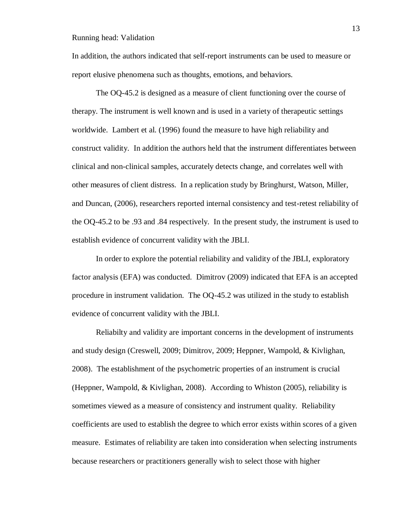In addition, the authors indicated that self-report instruments can be used to measure or report elusive phenomena such as thoughts, emotions, and behaviors.

The OQ-45.2 is designed as a measure of client functioning over the course of therapy. The instrument is well known and is used in a variety of therapeutic settings worldwide. Lambert et al. (1996) found the measure to have high reliability and construct validity. In addition the authors held that the instrument differentiates between clinical and non-clinical samples, accurately detects change, and correlates well with other measures of client distress. In a replication study by Bringhurst, Watson, Miller, and Duncan, (2006), researchers reported internal consistency and test-retest reliability of the OQ-45.2 to be .93 and .84 respectively. In the present study, the instrument is used to establish evidence of concurrent validity with the JBLI.

In order to explore the potential reliability and validity of the JBLI, exploratory factor analysis (EFA) was conducted. Dimitrov (2009) indicated that EFA is an accepted procedure in instrument validation. The OQ-45.2 was utilized in the study to establish evidence of concurrent validity with the JBLI.

Reliabilty and validity are important concerns in the development of instruments and study design (Creswell, 2009; Dimitrov, 2009; Heppner, Wampold, & Kivlighan, 2008). The establishment of the psychometric properties of an instrument is crucial (Heppner, Wampold, & Kivlighan, 2008). According to Whiston (2005), reliability is sometimes viewed as a measure of consistency and instrument quality. Reliability coefficients are used to establish the degree to which error exists within scores of a given measure. Estimates of reliability are taken into consideration when selecting instruments because researchers or practitioners generally wish to select those with higher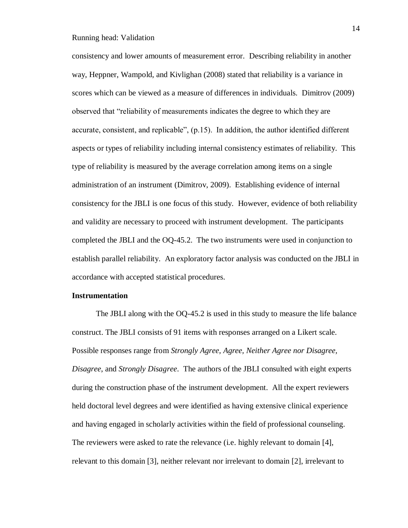consistency and lower amounts of measurement error. Describing reliability in another way, Heppner, Wampold, and Kivlighan (2008) stated that reliability is a variance in scores which can be viewed as a measure of differences in individuals. Dimitrov (2009) observed that "reliability of measurements indicates the degree to which they are accurate, consistent, and replicable", (p.15). In addition, the author identified different aspects or types of reliability including internal consistency estimates of reliability. This type of reliability is measured by the average correlation among items on a single administration of an instrument (Dimitrov, 2009). Establishing evidence of internal consistency for the JBLI is one focus of this study. However, evidence of both reliability and validity are necessary to proceed with instrument development. The participants completed the JBLI and the OQ-45.2. The two instruments were used in conjunction to establish parallel reliability. An exploratory factor analysis was conducted on the JBLI in accordance with accepted statistical procedures.

#### **Instrumentation**

The JBLI along with the OQ-45.2 is used in this study to measure the life balance construct. The JBLI consists of 91 items with responses arranged on a Likert scale. Possible responses range from *Strongly Agree, Agree, Neither Agree nor Disagree, Disagree*, and *Strongly Disagree*. The authors of the JBLI consulted with eight experts during the construction phase of the instrument development. All the expert reviewers held doctoral level degrees and were identified as having extensive clinical experience and having engaged in scholarly activities within the field of professional counseling. The reviewers were asked to rate the relevance (i.e. highly relevant to domain [4], relevant to this domain [3], neither relevant nor irrelevant to domain [2], irrelevant to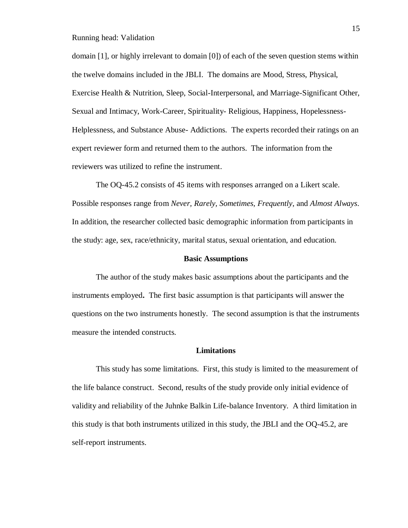domain [1], or highly irrelevant to domain [0]) of each of the seven question stems within the twelve domains included in the JBLI. The domains are Mood, Stress, Physical, Exercise Health & Nutrition, Sleep, Social-Interpersonal, and Marriage-Significant Other, Sexual and Intimacy, Work-Career, Spirituality- Religious, Happiness, Hopelessness-Helplessness, and Substance Abuse- Addictions. The experts recorded their ratings on an expert reviewer form and returned them to the authors. The information from the reviewers was utilized to refine the instrument.

The OQ-45.2 consists of 45 items with responses arranged on a Likert scale. Possible responses range from *Never, Rarely, Sometimes, Frequently*, and *Almost Always*. In addition, the researcher collected basic demographic information from participants in the study: age, sex, race/ethnicity, marital status, sexual orientation, and education.

#### **Basic Assumptions**

The author of the study makes basic assumptions about the participants and the instruments employed**.** The first basic assumption is that participants will answer the questions on the two instruments honestly. The second assumption is that the instruments measure the intended constructs.

#### **Limitations**

This study has some limitations. First, this study is limited to the measurement of the life balance construct. Second, results of the study provide only initial evidence of validity and reliability of the Juhnke Balkin Life-balance Inventory. A third limitation in this study is that both instruments utilized in this study, the JBLI and the OQ-45.2, are self-report instruments.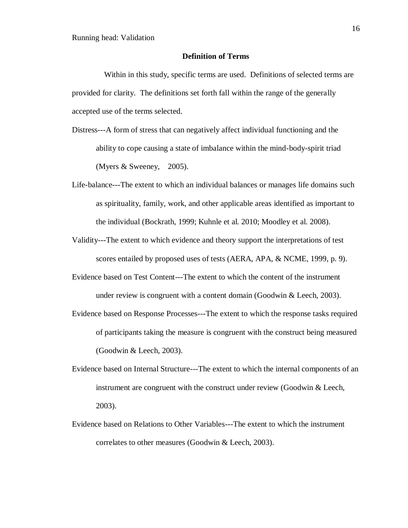#### **Definition of Terms**

 Within in this study, specific terms are used. Definitions of selected terms are provided for clarity. The definitions set forth fall within the range of the generally accepted use of the terms selected.

- Distress---A form of stress that can negatively affect individual functioning and the ability to cope causing a state of imbalance within the mind-body-spirit triad (Myers & Sweeney, 2005).
- Life-balance---The extent to which an individual balances or manages life domains such as spirituality, family, work, and other applicable areas identified as important to the individual (Bockrath, 1999; Kuhnle et al. 2010; Moodley et al. 2008).
- Validity---The extent to which evidence and theory support the interpretations of test scores entailed by proposed uses of tests (AERA, APA, & NCME, 1999, p. 9).
- Evidence based on Test Content---The extent to which the content of the instrument under review is congruent with a content domain (Goodwin & Leech, 2003).
- Evidence based on Response Processes---The extent to which the response tasks required of participants taking the measure is congruent with the construct being measured (Goodwin & Leech, 2003).
- Evidence based on Internal Structure---The extent to which the internal components of an instrument are congruent with the construct under review (Goodwin & Leech, 2003).
- Evidence based on Relations to Other Variables---The extent to which the instrument correlates to other measures (Goodwin & Leech, 2003).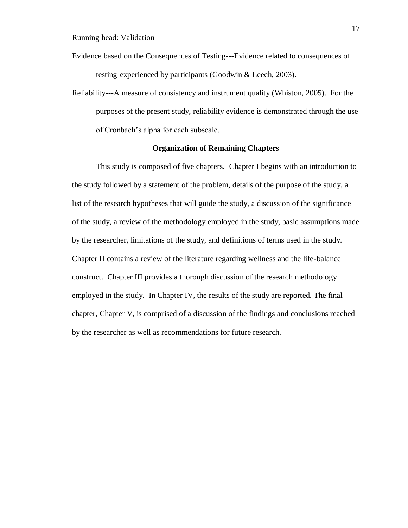- Evidence based on the Consequences of Testing---Evidence related to consequences of testing experienced by participants (Goodwin & Leech, 2003).
- Reliability---A measure of consistency and instrument quality (Whiston, 2005). For the purposes of the present study, reliability evidence is demonstrated through the use of Cronbach's alpha for each subscale.

#### **Organization of Remaining Chapters**

This study is composed of five chapters. Chapter I begins with an introduction to the study followed by a statement of the problem, details of the purpose of the study, a list of the research hypotheses that will guide the study, a discussion of the significance of the study, a review of the methodology employed in the study, basic assumptions made by the researcher, limitations of the study, and definitions of terms used in the study. Chapter II contains a review of the literature regarding wellness and the life-balance construct. Chapter III provides a thorough discussion of the research methodology employed in the study. In Chapter IV, the results of the study are reported. The final chapter, Chapter V, is comprised of a discussion of the findings and conclusions reached by the researcher as well as recommendations for future research.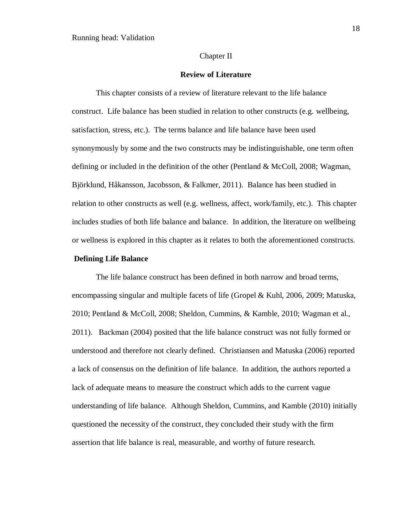#### Chapter II

#### **Review of Literature**

This chapter consists of a review of literature relevant to the life balance construct. Life balance has been studied in relation to other constructs (e.g. wellbeing, satisfaction, stress, etc.). The terms balance and life balance have been used synonymously by some and the two constructs may be indistinguishable, one term often defining or included in the definition of the other (Pentland & McColl, 2008; Wagman, Björklund, Håkansson, Jacobsson, & Falkmer, 2011). Balance has been studied in relation to other constructs as well (e.g. wellness, affect, work/family, etc.). This chapter includes studies of both life balance and balance. In addition, the literature on wellbeing or wellness is explored in this chapter as it relates to both the aforementioned constructs.

#### **Defining Life Balance**

The life balance construct has been defined in both narrow and broad terms, encompassing singular and multiple facets of life (Gropel & Kuhl, 2006, 2009; Matuska, 2010; Pentland & McColl, 2008; Sheldon, Cummins, & Kamble, 2010; Wagman et al., 2011). Backman (2004) posited that the life balance construct was not fully formed or understood and therefore not clearly defined. Christiansen and Matuska (2006) reported a lack of consensus on the definition of life balance. In addition, the authors reported a lack of adequate means to measure the construct which adds to the current vague understanding of life balance. Although Sheldon, Cummins, and Kamble (2010) initially questioned the necessity of the construct, they concluded their study with the firm assertion that life balance is real, measurable, and worthy of future research.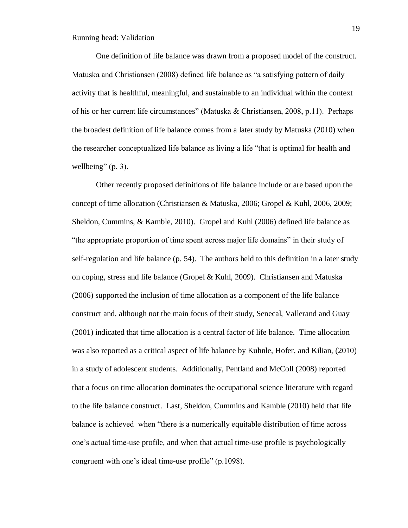One definition of life balance was drawn from a proposed model of the construct. Matuska and Christiansen (2008) defined life balance as "a satisfying pattern of daily activity that is healthful, meaningful, and sustainable to an individual within the context of his or her current life circumstances" (Matuska & Christiansen, 2008, p.11). Perhaps the broadest definition of life balance comes from a later study by Matuska (2010) when the researcher conceptualized life balance as living a life "that is optimal for health and wellbeing"  $(p. 3)$ .

Other recently proposed definitions of life balance include or are based upon the concept of time allocation (Christiansen & Matuska, 2006; Gropel & Kuhl, 2006, 2009; Sheldon, Cummins, & Kamble, 2010). Gropel and Kuhl (2006) defined life balance as "the appropriate proportion of time spent across major life domains" in their study of self-regulation and life balance (p. 54). The authors held to this definition in a later study on coping, stress and life balance (Gropel & Kuhl, 2009). Christiansen and Matuska (2006) supported the inclusion of time allocation as a component of the life balance construct and, although not the main focus of their study, Senecal, Vallerand and Guay (2001) indicated that time allocation is a central factor of life balance. Time allocation was also reported as a critical aspect of life balance by Kuhnle, Hofer, and Kilian, (2010) in a study of adolescent students. Additionally, Pentland and McColl (2008) reported that a focus on time allocation dominates the occupational science literature with regard to the life balance construct. Last, Sheldon, Cummins and Kamble (2010) held that life balance is achieved when "there is a numerically equitable distribution of time across one's actual time-use profile, and when that actual time-use profile is psychologically congruent with one's ideal time-use profile" (p.1098).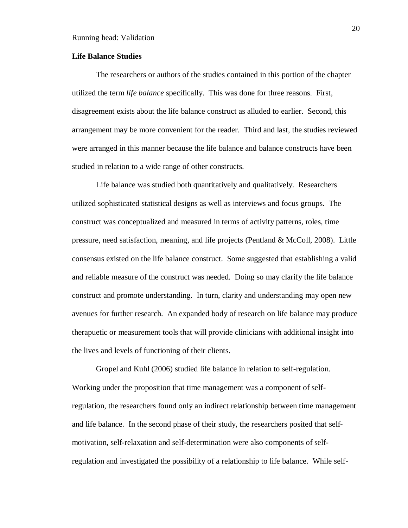#### **Life Balance Studies**

The researchers or authors of the studies contained in this portion of the chapter utilized the term *life balance* specifically. This was done for three reasons. First, disagreement exists about the life balance construct as alluded to earlier. Second, this arrangement may be more convenient for the reader. Third and last, the studies reviewed were arranged in this manner because the life balance and balance constructs have been studied in relation to a wide range of other constructs.

Life balance was studied both quantitatively and qualitatively. Researchers utilized sophisticated statistical designs as well as interviews and focus groups. The construct was conceptualized and measured in terms of activity patterns, roles, time pressure, need satisfaction, meaning, and life projects (Pentland & McColl, 2008). Little consensus existed on the life balance construct. Some suggested that establishing a valid and reliable measure of the construct was needed. Doing so may clarify the life balance construct and promote understanding. In turn, clarity and understanding may open new avenues for further research. An expanded body of research on life balance may produce therapuetic or measurement tools that will provide clinicians with additional insight into the lives and levels of functioning of their clients.

Gropel and Kuhl (2006) studied life balance in relation to self-regulation. Working under the proposition that time management was a component of selfregulation, the researchers found only an indirect relationship between time management and life balance. In the second phase of their study, the researchers posited that selfmotivation, self-relaxation and self-determination were also components of selfregulation and investigated the possibility of a relationship to life balance. While self-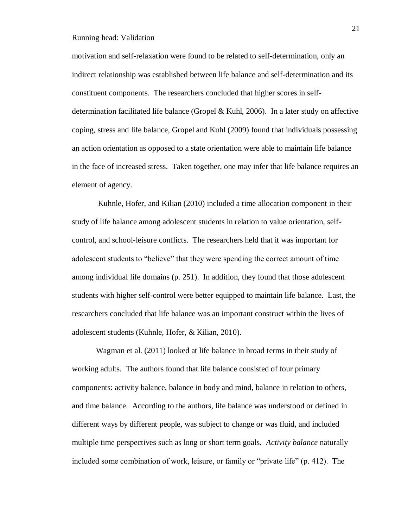motivation and self-relaxation were found to be related to self-determination, only an indirect relationship was established between life balance and self-determination and its constituent components. The researchers concluded that higher scores in selfdetermination facilitated life balance (Gropel & Kuhl, 2006). In a later study on affective coping, stress and life balance, Gropel and Kuhl (2009) found that individuals possessing an action orientation as opposed to a state orientation were able to maintain life balance in the face of increased stress. Taken together, one may infer that life balance requires an element of agency.

Kuhnle, Hofer, and Kilian (2010) included a time allocation component in their study of life balance among adolescent students in relation to value orientation, selfcontrol, and school-leisure conflicts. The researchers held that it was important for adolescent students to "believe" that they were spending the correct amount of time among individual life domains (p. 251). In addition, they found that those adolescent students with higher self-control were better equipped to maintain life balance. Last, the researchers concluded that life balance was an important construct within the lives of adolescent students (Kuhnle, Hofer, & Kilian, 2010).

Wagman et al. (2011) looked at life balance in broad terms in their study of working adults. The authors found that life balance consisted of four primary components: activity balance, balance in body and mind, balance in relation to others, and time balance. According to the authors, life balance was understood or defined in different ways by different people, was subject to change or was fluid, and included multiple time perspectives such as long or short term goals. *Activity balance* naturally included some combination of work, leisure, or family or "private life" (p. 412). The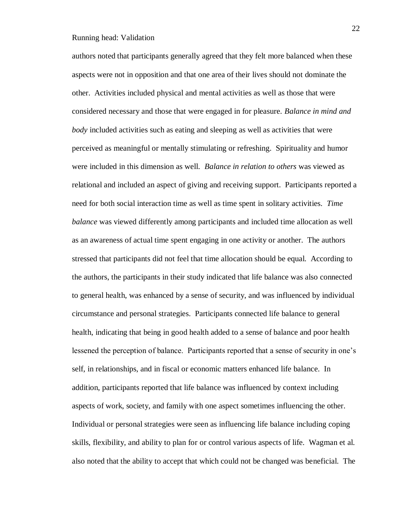authors noted that participants generally agreed that they felt more balanced when these aspects were not in opposition and that one area of their lives should not dominate the other. Activities included physical and mental activities as well as those that were considered necessary and those that were engaged in for pleasure. *Balance in mind and body* included activities such as eating and sleeping as well as activities that were perceived as meaningful or mentally stimulating or refreshing. Spirituality and humor were included in this dimension as well. *Balance in relation to others* was viewed as relational and included an aspect of giving and receiving support. Participants reported a need for both social interaction time as well as time spent in solitary activities. *Time balance* was viewed differently among participants and included time allocation as well as an awareness of actual time spent engaging in one activity or another. The authors stressed that participants did not feel that time allocation should be equal. According to the authors, the participants in their study indicated that life balance was also connected to general health, was enhanced by a sense of security, and was influenced by individual circumstance and personal strategies. Participants connected life balance to general health, indicating that being in good health added to a sense of balance and poor health lessened the perception of balance. Participants reported that a sense of security in one's self, in relationships, and in fiscal or economic matters enhanced life balance. In addition, participants reported that life balance was influenced by context including aspects of work, society, and family with one aspect sometimes influencing the other. Individual or personal strategies were seen as influencing life balance including coping skills, flexibility, and ability to plan for or control various aspects of life. Wagman et al. also noted that the ability to accept that which could not be changed was beneficial. The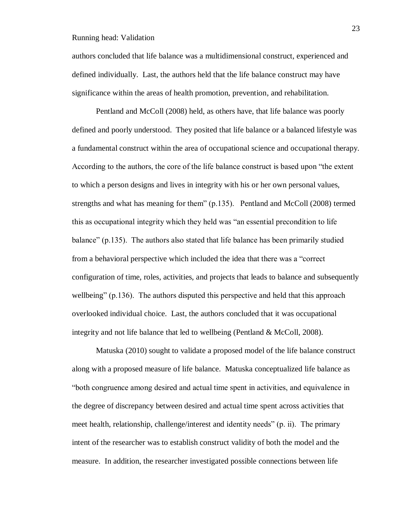authors concluded that life balance was a multidimensional construct, experienced and defined individually. Last, the authors held that the life balance construct may have significance within the areas of health promotion, prevention, and rehabilitation.

Pentland and McColl (2008) held, as others have, that life balance was poorly defined and poorly understood. They posited that life balance or a balanced lifestyle was a fundamental construct within the area of occupational science and occupational therapy. According to the authors, the core of the life balance construct is based upon "the extent to which a person designs and lives in integrity with his or her own personal values, strengths and what has meaning for them" (p.135). Pentland and McColl (2008) termed this as occupational integrity which they held was "an essential precondition to life balance" (p.135). The authors also stated that life balance has been primarily studied from a behavioral perspective which included the idea that there was a "correct configuration of time, roles, activities, and projects that leads to balance and subsequently wellbeing" (p.136). The authors disputed this perspective and held that this approach overlooked individual choice. Last, the authors concluded that it was occupational integrity and not life balance that led to wellbeing (Pentland & McColl, 2008).

Matuska (2010) sought to validate a proposed model of the life balance construct along with a proposed measure of life balance. Matuska conceptualized life balance as "both congruence among desired and actual time spent in activities, and equivalence in the degree of discrepancy between desired and actual time spent across activities that meet health, relationship, challenge/interest and identity needs" (p. ii). The primary intent of the researcher was to establish construct validity of both the model and the measure. In addition, the researcher investigated possible connections between life

23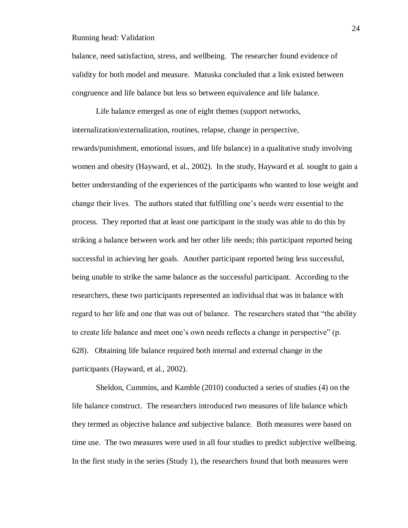balance, need satisfaction, stress, and wellbeing. The researcher found evidence of validity for both model and measure. Matuska concluded that a link existed between congruence and life balance but less so between equivalence and life balance.

Life balance emerged as one of eight themes (support networks, internalization/externalization, routines, relapse, change in perspective, rewards/punishment, emotional issues, and life balance) in a qualitative study involving women and obesity (Hayward, et al., 2002). In the study, Hayward et al. sought to gain a better understanding of the experiences of the participants who wanted to lose weight and change their lives. The authors stated that fulfilling one's needs were essential to the process. They reported that at least one participant in the study was able to do this by striking a balance between work and her other life needs; this participant reported being successful in achieving her goals. Another participant reported being less successful, being unable to strike the same balance as the successful participant. According to the researchers, these two participants represented an individual that was in balance with regard to her life and one that was out of balance. The researchers stated that "the ability to create life balance and meet one's own needs reflects a change in perspective" (p. 628). Obtaining life balance required both internal and external change in the participants (Hayward, et al., 2002).

Sheldon, Cummins, and Kamble (2010) conducted a series of studies (4) on the life balance construct. The researchers introduced two measures of life balance which they termed as objective balance and subjective balance. Both measures were based on time use. The two measures were used in all four studies to predict subjective wellbeing. In the first study in the series (Study 1), the researchers found that both measures were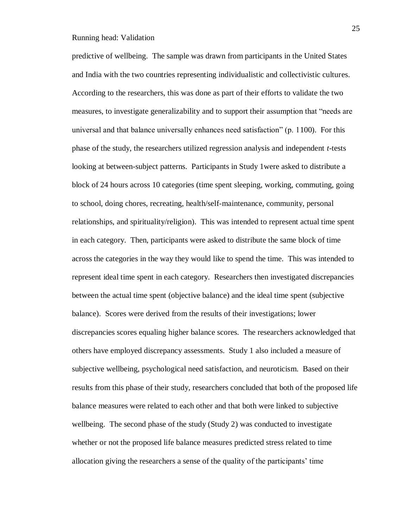predictive of wellbeing. The sample was drawn from participants in the United States and India with the two countries representing individualistic and collectivistic cultures. According to the researchers, this was done as part of their efforts to validate the two measures, to investigate generalizability and to support their assumption that "needs are universal and that balance universally enhances need satisfaction" (p. 1100). For this phase of the study, the researchers utilized regression analysis and independent *t-*tests looking at between-subject patterns. Participants in Study 1were asked to distribute a block of 24 hours across 10 categories (time spent sleeping, working, commuting, going to school, doing chores, recreating, health/self-maintenance, community, personal relationships, and spirituality/religion). This was intended to represent actual time spent in each category. Then, participants were asked to distribute the same block of time across the categories in the way they would like to spend the time. This was intended to represent ideal time spent in each category. Researchers then investigated discrepancies between the actual time spent (objective balance) and the ideal time spent (subjective balance). Scores were derived from the results of their investigations; lower discrepancies scores equaling higher balance scores. The researchers acknowledged that others have employed discrepancy assessments. Study 1 also included a measure of subjective wellbeing, psychological need satisfaction, and neuroticism. Based on their results from this phase of their study, researchers concluded that both of the proposed life balance measures were related to each other and that both were linked to subjective wellbeing. The second phase of the study (Study 2) was conducted to investigate whether or not the proposed life balance measures predicted stress related to time allocation giving the researchers a sense of the quality of the participants' time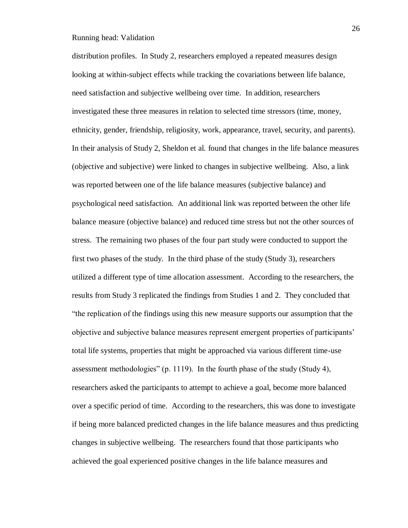distribution profiles. In Study 2, researchers employed a repeated measures design looking at within-subject effects while tracking the covariations between life balance, need satisfaction and subjective wellbeing over time. In addition, researchers investigated these three measures in relation to selected time stressors (time, money, ethnicity, gender, friendship, religiosity, work, appearance, travel, security, and parents). In their analysis of Study 2, Sheldon et al. found that changes in the life balance measures (objective and subjective) were linked to changes in subjective wellbeing. Also, a link was reported between one of the life balance measures (subjective balance) and psychological need satisfaction. An additional link was reported between the other life balance measure (objective balance) and reduced time stress but not the other sources of stress. The remaining two phases of the four part study were conducted to support the first two phases of the study. In the third phase of the study (Study 3), researchers utilized a different type of time allocation assessment. According to the researchers, the results from Study 3 replicated the findings from Studies 1 and 2. They concluded that "the replication of the findings using this new measure supports our assumption that the objective and subjective balance measures represent emergent properties of participants' total life systems, properties that might be approached via various different time-use assessment methodologies" (p. 1119). In the fourth phase of the study (Study 4), researchers asked the participants to attempt to achieve a goal, become more balanced over a specific period of time. According to the researchers, this was done to investigate if being more balanced predicted changes in the life balance measures and thus predicting changes in subjective wellbeing. The researchers found that those participants who achieved the goal experienced positive changes in the life balance measures and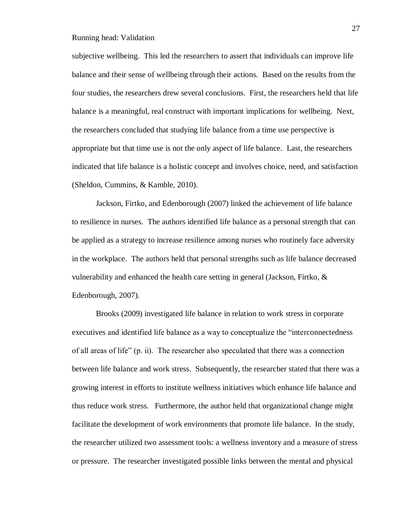subjective wellbeing. This led the researchers to assert that individuals can improve life balance and their sense of wellbeing through their actions. Based on the results from the four studies, the researchers drew several conclusions. First, the researchers held that life balance is a meaningful, real construct with important implications for wellbeing. Next, the researchers concluded that studying life balance from a time use perspective is appropriate but that time use is not the only aspect of life balance. Last, the researchers indicated that life balance is a holistic concept and involves choice, need, and satisfaction (Sheldon, Cummins, & Kamble, 2010).

Jackson, Firtko, and Edenborough (2007) linked the achievement of life balance to resilience in nurses. The authors identified life balance as a personal strength that can be applied as a strategy to increase resilience among nurses who routinely face adversity in the workplace. The authors held that personal strengths such as life balance decreased vulnerability and enhanced the health care setting in general (Jackson, Firtko, & Edenborough, 2007).

Brooks (2009) investigated life balance in relation to work stress in corporate executives and identified life balance as a way to conceptualize the "interconnectedness of all areas of life" (p. ii). The researcher also speculated that there was a connection between life balance and work stress. Subsequently, the researcher stated that there was a growing interest in efforts to institute wellness initiatives which enhance life balance and thus reduce work stress. Furthermore, the author held that organizational change might facilitate the development of work environments that promote life balance. In the study, the researcher utilized two assessment tools: a wellness inventory and a measure of stress or pressure. The researcher investigated possible links between the mental and physical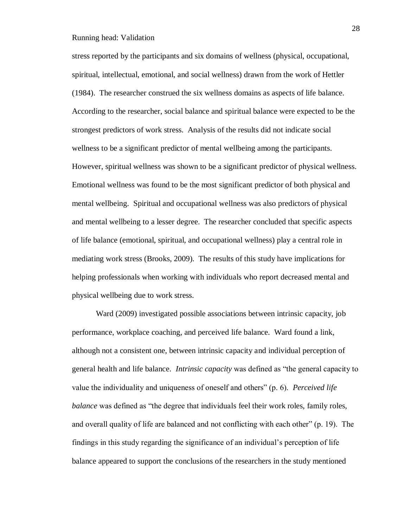stress reported by the participants and six domains of wellness (physical, occupational, spiritual, intellectual, emotional, and social wellness) drawn from the work of Hettler (1984). The researcher construed the six wellness domains as aspects of life balance. According to the researcher, social balance and spiritual balance were expected to be the strongest predictors of work stress. Analysis of the results did not indicate social wellness to be a significant predictor of mental wellbeing among the participants. However, spiritual wellness was shown to be a significant predictor of physical wellness. Emotional wellness was found to be the most significant predictor of both physical and mental wellbeing. Spiritual and occupational wellness was also predictors of physical and mental wellbeing to a lesser degree. The researcher concluded that specific aspects of life balance (emotional, spiritual, and occupational wellness) play a central role in mediating work stress (Brooks, 2009). The results of this study have implications for helping professionals when working with individuals who report decreased mental and physical wellbeing due to work stress.

Ward (2009) investigated possible associations between intrinsic capacity, job performance, workplace coaching, and perceived life balance. Ward found a link, although not a consistent one, between intrinsic capacity and individual perception of general health and life balance. *Intrinsic capacity* was defined as "the general capacity to value the individuality and uniqueness of oneself and others" (p. 6). *Perceived life balance* was defined as "the degree that individuals feel their work roles, family roles, and overall quality of life are balanced and not conflicting with each other" (p. 19). The findings in this study regarding the significance of an individual's perception of life balance appeared to support the conclusions of the researchers in the study mentioned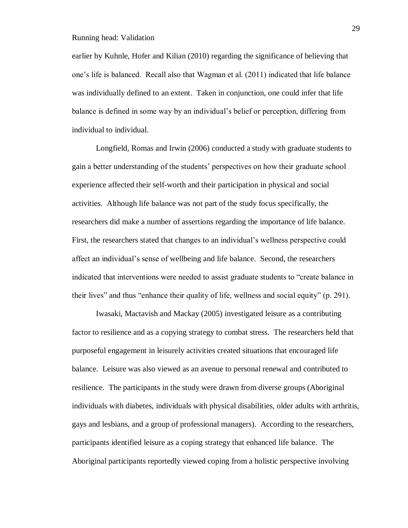earlier by Kuhnle, Hofer and Kilian (2010) regarding the significance of believing that one's life is balanced. Recall also that Wagman et al. (2011) indicated that life balance was individually defined to an extent. Taken in conjunction, one could infer that life balance is defined in some way by an individual's belief or perception, differing from individual to individual.

Longfield, Romas and Irwin (2006) conducted a study with graduate students to gain a better understanding of the students' perspectives on how their graduate school experience affected their self-worth and their participation in physical and social activities. Although life balance was not part of the study focus specifically, the researchers did make a number of assertions regarding the importance of life balance. First, the researchers stated that changes to an individual's wellness perspective could affect an individual's sense of wellbeing and life balance. Second, the researchers indicated that interventions were needed to assist graduate students to "create balance in their lives" and thus "enhance their quality of life, wellness and social equity" (p. 291).

Iwasaki, Mactavish and Mackay (2005) investigated leisure as a contributing factor to resilience and as a copying strategy to combat stress. The researchers held that purposeful engagement in leisurely activities created situations that encouraged life balance. Leisure was also viewed as an avenue to personal renewal and contributed to resilience. The participants in the study were drawn from diverse groups (Aboriginal individuals with diabetes, individuals with physical disabilities, older adults with arthritis, gays and lesbians, and a group of professional managers). According to the researchers, participants identified leisure as a coping strategy that enhanced life balance. The Aboriginal participants reportedly viewed coping from a holistic perspective involving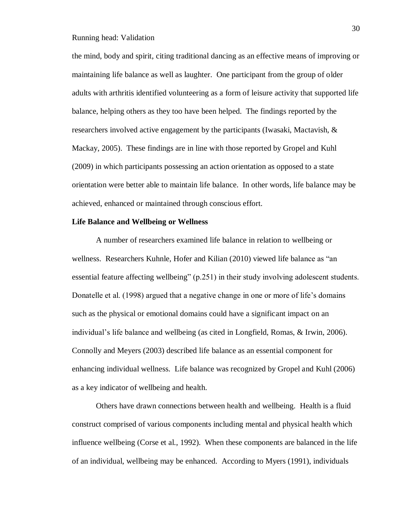the mind, body and spirit, citing traditional dancing as an effective means of improving or maintaining life balance as well as laughter. One participant from the group of older adults with arthritis identified volunteering as a form of leisure activity that supported life balance, helping others as they too have been helped. The findings reported by the researchers involved active engagement by the participants (Iwasaki, Mactavish, & Mackay, 2005). These findings are in line with those reported by Gropel and Kuhl (2009) in which participants possessing an action orientation as opposed to a state orientation were better able to maintain life balance. In other words, life balance may be achieved, enhanced or maintained through conscious effort.

## **Life Balance and Wellbeing or Wellness**

A number of researchers examined life balance in relation to wellbeing or wellness. Researchers Kuhnle, Hofer and Kilian (2010) viewed life balance as "an essential feature affecting wellbeing" (p.251) in their study involving adolescent students. Donatelle et al. (1998) argued that a negative change in one or more of life's domains such as the physical or emotional domains could have a significant impact on an individual's life balance and wellbeing (as cited in Longfield, Romas, & Irwin, 2006). Connolly and Meyers (2003) described life balance as an essential component for enhancing individual wellness. Life balance was recognized by Gropel and Kuhl (2006) as a key indicator of wellbeing and health.

Others have drawn connections between health and wellbeing. Health is a fluid construct comprised of various components including mental and physical health which influence wellbeing (Corse et al., 1992). When these components are balanced in the life of an individual, wellbeing may be enhanced. According to Myers (1991), individuals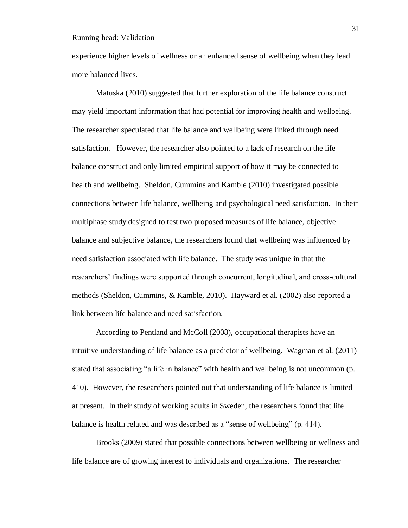experience higher levels of wellness or an enhanced sense of wellbeing when they lead more balanced lives.

Matuska (2010) suggested that further exploration of the life balance construct may yield important information that had potential for improving health and wellbeing. The researcher speculated that life balance and wellbeing were linked through need satisfaction. However, the researcher also pointed to a lack of research on the life balance construct and only limited empirical support of how it may be connected to health and wellbeing. Sheldon, Cummins and Kamble (2010) investigated possible connections between life balance, wellbeing and psychological need satisfaction. In their multiphase study designed to test two proposed measures of life balance, objective balance and subjective balance, the researchers found that wellbeing was influenced by need satisfaction associated with life balance. The study was unique in that the researchers' findings were supported through concurrent, longitudinal, and cross-cultural methods (Sheldon, Cummins, & Kamble, 2010). Hayward et al. (2002) also reported a link between life balance and need satisfaction.

According to Pentland and McColl (2008), occupational therapists have an intuitive understanding of life balance as a predictor of wellbeing. Wagman et al. (2011) stated that associating "a life in balance" with health and wellbeing is not uncommon (p. 410). However, the researchers pointed out that understanding of life balance is limited at present. In their study of working adults in Sweden, the researchers found that life balance is health related and was described as a "sense of wellbeing" (p. 414).

Brooks (2009) stated that possible connections between wellbeing or wellness and life balance are of growing interest to individuals and organizations. The researcher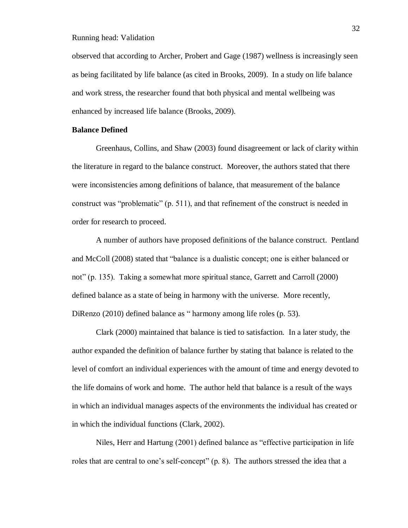observed that according to Archer, Probert and Gage (1987) wellness is increasingly seen as being facilitated by life balance (as cited in Brooks, 2009). In a study on life balance and work stress, the researcher found that both physical and mental wellbeing was enhanced by increased life balance (Brooks, 2009).

# **Balance Defined**

Greenhaus, Collins, and Shaw (2003) found disagreement or lack of clarity within the literature in regard to the balance construct. Moreover, the authors stated that there were inconsistencies among definitions of balance, that measurement of the balance construct was "problematic" (p. 511), and that refinement of the construct is needed in order for research to proceed.

A number of authors have proposed definitions of the balance construct. Pentland and McColl (2008) stated that "balance is a dualistic concept; one is either balanced or not" (p. 135). Taking a somewhat more spiritual stance, Garrett and Carroll (2000) defined balance as a state of being in harmony with the universe. More recently, DiRenzo (2010) defined balance as " harmony among life roles (p. 53).

Clark (2000) maintained that balance is tied to satisfaction. In a later study, the author expanded the definition of balance further by stating that balance is related to the level of comfort an individual experiences with the amount of time and energy devoted to the life domains of work and home. The author held that balance is a result of the ways in which an individual manages aspects of the environments the individual has created or in which the individual functions (Clark, 2002).

Niles, Herr and Hartung (2001) defined balance as "effective participation in life roles that are central to one's self-concept" (p. 8). The authors stressed the idea that a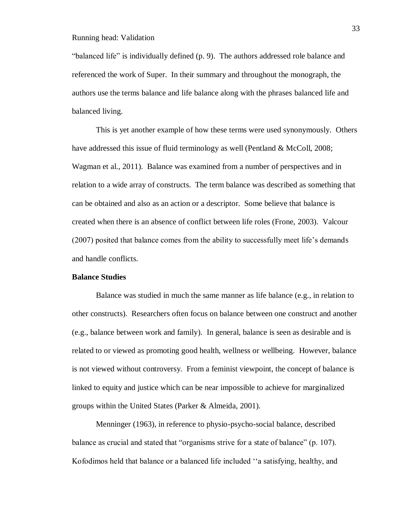"balanced life" is individually defined (p. 9). The authors addressed role balance and referenced the work of Super. In their summary and throughout the monograph, the authors use the terms balance and life balance along with the phrases balanced life and balanced living.

This is yet another example of how these terms were used synonymously. Others have addressed this issue of fluid terminology as well (Pentland & McColl, 2008; Wagman et al., 2011). Balance was examined from a number of perspectives and in relation to a wide array of constructs. The term balance was described as something that can be obtained and also as an action or a descriptor. Some believe that balance is created when there is an absence of conflict between life roles (Frone, 2003). Valcour (2007) posited that balance comes from the ability to successfully meet life's demands and handle conflicts.

## **Balance Studies**

Balance was studied in much the same manner as life balance (e.g., in relation to other constructs). Researchers often focus on balance between one construct and another (e.g., balance between work and family). In general, balance is seen as desirable and is related to or viewed as promoting good health, wellness or wellbeing. However, balance is not viewed without controversy. From a feminist viewpoint, the concept of balance is linked to equity and justice which can be near impossible to achieve for marginalized groups within the United States (Parker & Almeida, 2001).

Menninger (1963), in reference to physio-psycho-social balance, described balance as crucial and stated that "organisms strive for a state of balance" (p. 107). Kofodimos held that balance or a balanced life included ''a satisfying, healthy, and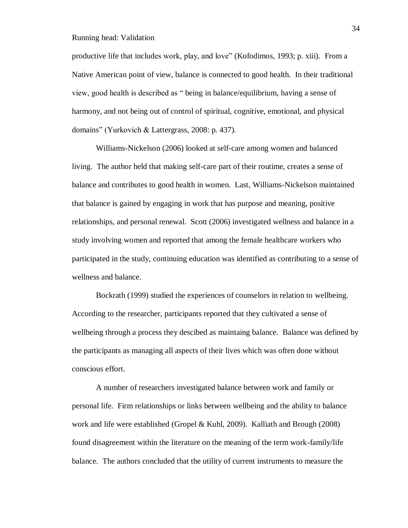productive life that includes work, play, and love" (Kofodimos, 1993; p. xiii). From a Native American point of view, balance is connected to good health. In their traditional view, good health is described as " being in balance/equilibrium, having a sense of harmony, and not being out of control of spiritual, cognitive, emotional, and physical domains" (Yurkovich & Lattergrass, 2008: p. 437).

Williams-Nickelson (2006) looked at self-care among women and balanced living. The author held that making self-care part of their routime, creates a sense of balance and contributes to good health in women. Last, Williams-Nickelson maintained that balance is gained by engaging in work that has purpose and meaning, positive relationships, and personal renewal. Scott (2006) investigated wellness and balance in a study involving women and reported that among the female healthcare workers who participated in the study, continuing education was identified as contributing to a sense of wellness and balance.

Bockrath (1999) studied the experiences of counselors in relation to wellbeing. According to the researcher, participants reported that they cultivated a sense of wellbeing through a process they descibed as maintaing balance. Balance was defined by the participants as managing all aspects of their lives which was often done without conscious effort.

A number of researchers investigated balance between work and family or personal life. Firm relationships or links between wellbeing and the ability to balance work and life were established (Gropel & Kuhl, 2009). Kalliath and Brough (2008) found disagreement within the literature on the meaning of the term work-family/life balance. The authors concluded that the utility of current instruments to measure the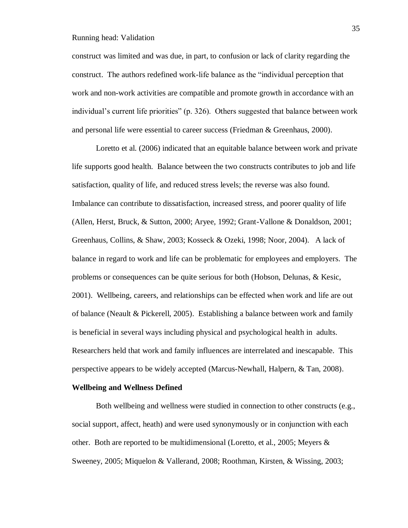construct was limited and was due, in part, to confusion or lack of clarity regarding the construct. The authors redefined work-life balance as the "individual perception that work and non-work activities are compatible and promote growth in accordance with an individual's current life priorities" (p. 326). Others suggested that balance between work and personal life were essential to career success (Friedman & Greenhaus, 2000).

Loretto et al. (2006) indicated that an equitable balance between work and private life supports good health. Balance between the two constructs contributes to job and life satisfaction, quality of life, and reduced stress levels; the reverse was also found. Imbalance can contribute to dissatisfaction, increased stress, and poorer quality of life (Allen, Herst, Bruck, & Sutton, 2000; Aryee, 1992; Grant-Vallone & Donaldson, 2001; Greenhaus, Collins, & Shaw, 2003; Kosseck & Ozeki, 1998; Noor, 2004). A lack of balance in regard to work and life can be problematic for employees and employers. The problems or consequences can be quite serious for both (Hobson, Delunas, & Kesic, 2001). Wellbeing, careers, and relationships can be effected when work and life are out of balance (Neault & Pickerell, 2005). Establishing a balance between work and family is beneficial in several ways including physical and psychological health in adults. Researchers held that work and family influences are interrelated and inescapable. This perspective appears to be widely accepted (Marcus-Newhall, Halpern, & Tan, 2008).

#### **Wellbeing and Wellness Defined**

Both wellbeing and wellness were studied in connection to other constructs (e.g., social support, affect, heath) and were used synonymously or in conjunction with each other. Both are reported to be multidimensional (Loretto, et al., 2005; Meyers  $\&$ Sweeney, 2005; Miquelon & Vallerand, 2008; Roothman, Kirsten, & Wissing, 2003;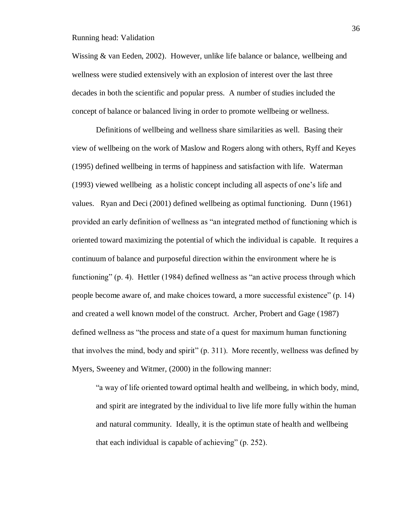Wissing & van Eeden, 2002). However, unlike life balance or balance, wellbeing and wellness were studied extensively with an explosion of interest over the last three decades in both the scientific and popular press. A number of studies included the concept of balance or balanced living in order to promote wellbeing or wellness.

Definitions of wellbeing and wellness share similarities as well. Basing their view of wellbeing on the work of Maslow and Rogers along with others, Ryff and Keyes (1995) defined wellbeing in terms of happiness and satisfaction with life. Waterman (1993) viewed wellbeing as a holistic concept including all aspects of one's life and values. Ryan and Deci (2001) defined wellbeing as optimal functioning. Dunn (1961) provided an early definition of wellness as "an integrated method of functioning which is oriented toward maximizing the potential of which the individual is capable. It requires a continuum of balance and purposeful direction within the environment where he is functioning" (p. 4). Hettler (1984) defined wellness as "an active process through which people become aware of, and make choices toward, a more successful existence" (p. 14) and created a well known model of the construct. Archer, Probert and Gage (1987) defined wellness as "the process and state of a quest for maximum human functioning that involves the mind, body and spirit" (p. 311). More recently, wellness was defined by Myers, Sweeney and Witmer, (2000) in the following manner:

"a way of life oriented toward optimal health and wellbeing, in which body, mind, and spirit are integrated by the individual to live life more fully within the human and natural community. Ideally, it is the optimun state of health and wellbeing that each individual is capable of achieving" (p. 252).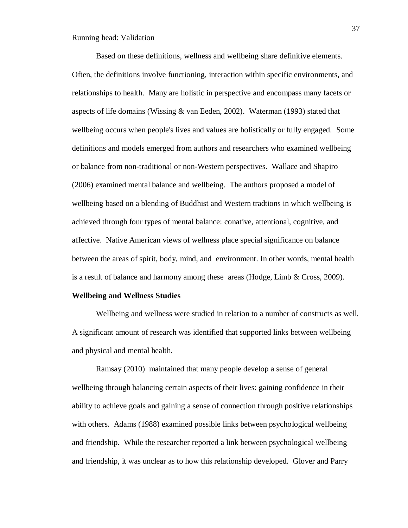Based on these definitions, wellness and wellbeing share definitive elements. Often, the definitions involve functioning, interaction within specific environments, and relationships to health. Many are holistic in perspective and encompass many facets or aspects of life domains (Wissing  $&$  van Eeden, 2002). Waterman (1993) stated that wellbeing occurs when people's lives and values are holistically or fully engaged. Some definitions and models emerged from authors and researchers who examined wellbeing or balance from non-traditional or non-Western perspectives. Wallace and Shapiro (2006) examined mental balance and wellbeing. The authors proposed a model of wellbeing based on a blending of Buddhist and Western tradtions in which wellbeing is achieved through four types of mental balance: conative, attentional, cognitive, and affective. Native American views of wellness place special significance on balance between the areas of spirit, body, mind, and environment. In other words, mental health is a result of balance and harmony among these areas (Hodge, Limb & Cross, 2009).

#### **Wellbeing and Wellness Studies**

Wellbeing and wellness were studied in relation to a number of constructs as well. A significant amount of research was identified that supported links between wellbeing and physical and mental health.

Ramsay (2010) maintained that many people develop a sense of general wellbeing through balancing certain aspects of their lives: gaining confidence in their ability to achieve goals and gaining a sense of connection through positive relationships with others. Adams (1988) examined possible links between psychological wellbeing and friendship. While the researcher reported a link between psychological wellbeing and friendship, it was unclear as to how this relationship developed. Glover and Parry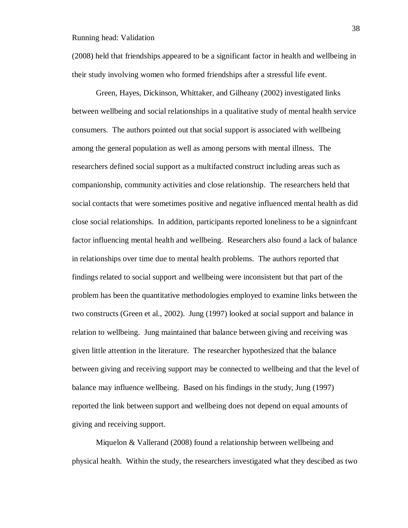(2008) held that friendships appeared to be a significant factor in health and wellbeing in their study involving women who formed friendships after a stressful life event.

Green, Hayes, Dickinson, Whittaker, and Gilheany (2002) investigated links between wellbeing and social relationships in a qualitative study of mental health service consumers. The authors pointed out that social support is associated with wellbeing among the general population as well as among persons with mental illness. The researchers defined social support as a multifacted construct including areas such as companionship, community activities and close relationship. The researchers held that social contacts that were sometimes positive and negative influenced mental health as did close social relationships. In addition, participants reported loneliness to be a signinfcant factor influencing mental health and wellbeing. Researchers also found a lack of balance in relationships over time due to mental health problems. The authors reported that findings related to social support and wellbeing were inconsistent but that part of the problem has been the quantitative methodologies employed to examine links between the two constructs (Green et al., 2002). Jung (1997) looked at social support and balance in relation to wellbeing. Jung maintained that balance between giving and receiving was given little attention in the literature. The researcher hypothesized that the balance between giving and receiving support may be connected to wellbeing and that the level of balance may influence wellbeing. Based on his findings in the study, Jung (1997) reported the link between support and wellbeing does not depend on equal amounts of giving and receiving support.

Miquelon & Vallerand (2008) found a relationship between wellbeing and physical health. Within the study, the researchers investigated what they descibed as two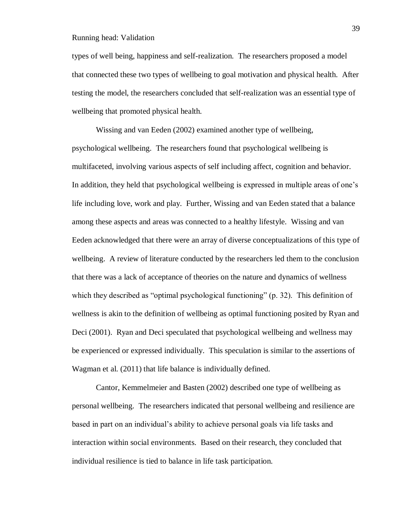types of well being, happiness and self-realization. The researchers proposed a model that connected these two types of wellbeing to goal motivation and physical health. After testing the model, the researchers concluded that self-realization was an essential type of wellbeing that promoted physical health.

Wissing and van Eeden (2002) examined another type of wellbeing, psychological wellbeing. The researchers found that psychological wellbeing is multifaceted, involving various aspects of self including affect, cognition and behavior. In addition, they held that psychological wellbeing is expressed in multiple areas of one's life including love, work and play. Further, Wissing and van Eeden stated that a balance among these aspects and areas was connected to a healthy lifestyle. Wissing and van Eeden acknowledged that there were an array of diverse conceptualizations of this type of wellbeing. A review of literature conducted by the researchers led them to the conclusion that there was a lack of acceptance of theories on the nature and dynamics of wellness which they described as "optimal psychological functioning" (p. 32). This definition of wellness is akin to the definition of wellbeing as optimal functioning posited by Ryan and Deci (2001). Ryan and Deci speculated that psychological wellbeing and wellness may be experienced or expressed individually. This speculation is similar to the assertions of Wagman et al. (2011) that life balance is individually defined.

Cantor, Kemmelmeier and Basten (2002) described one type of wellbeing as personal wellbeing. The researchers indicated that personal wellbeing and resilience are based in part on an individual's ability to achieve personal goals via life tasks and interaction within social environments. Based on their research, they concluded that individual resilience is tied to balance in life task participation.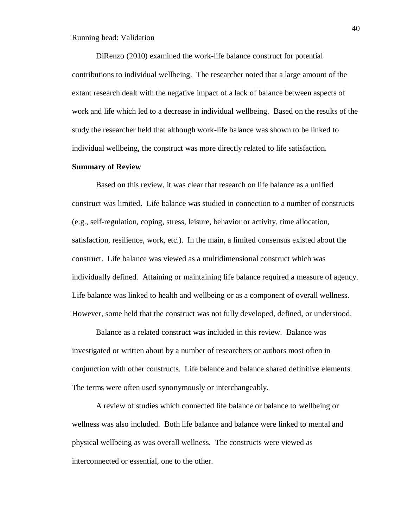DiRenzo (2010) examined the work-life balance construct for potential contributions to individual wellbeing. The researcher noted that a large amount of the extant research dealt with the negative impact of a lack of balance between aspects of work and life which led to a decrease in individual wellbeing. Based on the results of the study the researcher held that although work-life balance was shown to be linked to individual wellbeing, the construct was more directly related to life satisfaction.

## **Summary of Review**

Based on this review, it was clear that research on life balance as a unified construct was limited**.** Life balance was studied in connection to a number of constructs (e.g., self-regulation, coping, stress, leisure, behavior or activity, time allocation, satisfaction, resilience, work, etc.). In the main, a limited consensus existed about the construct. Life balance was viewed as a multidimensional construct which was individually defined. Attaining or maintaining life balance required a measure of agency. Life balance was linked to health and wellbeing or as a component of overall wellness. However, some held that the construct was not fully developed, defined, or understood.

Balance as a related construct was included in this review. Balance was investigated or written about by a number of researchers or authors most often in conjunction with other constructs. Life balance and balance shared definitive elements. The terms were often used synonymously or interchangeably.

A review of studies which connected life balance or balance to wellbeing or wellness was also included. Both life balance and balance were linked to mental and physical wellbeing as was overall wellness. The constructs were viewed as interconnected or essential, one to the other.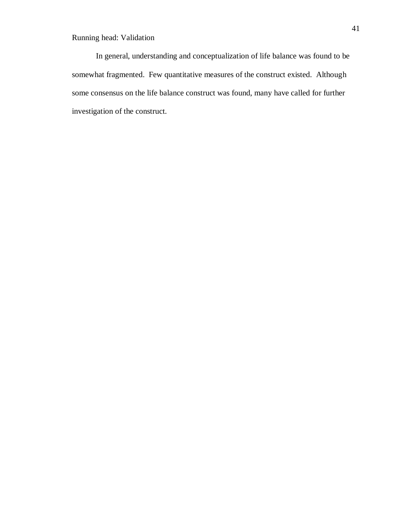In general, understanding and conceptualization of life balance was found to be somewhat fragmented. Few quantitative measures of the construct existed. Although some consensus on the life balance construct was found, many have called for further investigation of the construct.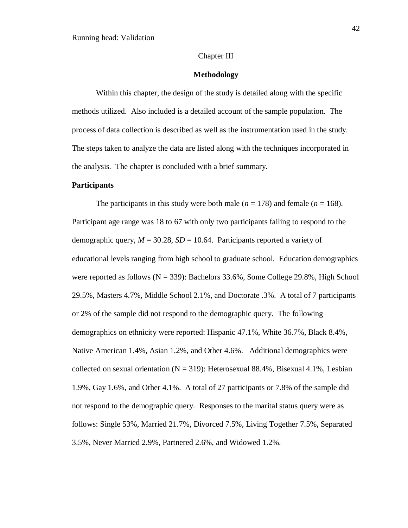## Chapter III

#### **Methodology**

Within this chapter, the design of the study is detailed along with the specific methods utilized. Also included is a detailed account of the sample population. The process of data collection is described as well as the instrumentation used in the study. The steps taken to analyze the data are listed along with the techniques incorporated in the analysis. The chapter is concluded with a brief summary.

#### **Participants**

The participants in this study were both male ( $n = 178$ ) and female ( $n = 168$ ). Participant age range was 18 to 67 with only two participants failing to respond to the demographic query,  $M = 30.28$ ,  $SD = 10.64$ . Participants reported a variety of educational levels ranging from high school to graduate school. Education demographics were reported as follows  $(N = 339)$ : Bachelors 33.6%, Some College 29.8%, High School 29.5%, Masters 4.7%, Middle School 2.1%, and Doctorate .3%. A total of 7 participants or 2% of the sample did not respond to the demographic query. The following demographics on ethnicity were reported: Hispanic 47.1%, White 36.7%, Black 8.4%, Native American 1.4%, Asian 1.2%, and Other 4.6%. Additional demographics were collected on sexual orientation ( $N = 319$ ): Heterosexual 88.4%, Bisexual 4.1%, Lesbian 1.9%, Gay 1.6%, and Other 4.1%. A total of 27 participants or 7.8% of the sample did not respond to the demographic query. Responses to the marital status query were as follows: Single 53%, Married 21.7%, Divorced 7.5%, Living Together 7.5%, Separated 3.5%, Never Married 2.9%, Partnered 2.6%, and Widowed 1.2%.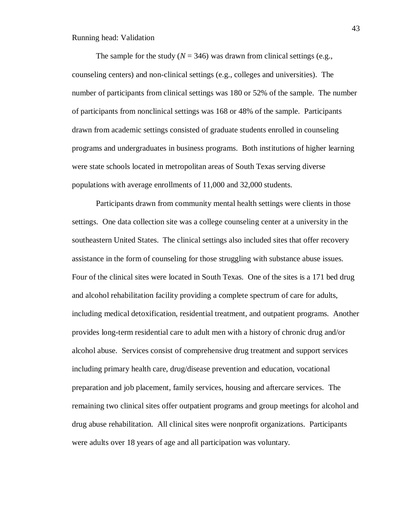The sample for the study ( $N = 346$ ) was drawn from clinical settings (e.g., counseling centers) and non-clinical settings (e.g., colleges and universities). The number of participants from clinical settings was 180 or 52% of the sample. The number of participants from nonclinical settings was 168 or 48% of the sample. Participants drawn from academic settings consisted of graduate students enrolled in counseling programs and undergraduates in business programs. Both institutions of higher learning were state schools located in metropolitan areas of South Texas serving diverse populations with average enrollments of 11,000 and 32,000 students.

Participants drawn from community mental health settings were clients in those settings. One data collection site was a college counseling center at a university in the southeastern United States. The clinical settings also included sites that offer recovery assistance in the form of counseling for those struggling with substance abuse issues. Four of the clinical sites were located in South Texas. One of the sites is a 171 bed drug and alcohol rehabilitation facility providing a complete spectrum of care for adults, including medical detoxification, residential treatment, and outpatient programs. Another provides long-term residential care to adult men with a history of chronic drug and/or alcohol abuse. Services consist of comprehensive drug treatment and support services including primary health care, drug/disease prevention and education, vocational preparation and job placement, family services, housing and aftercare services. The remaining two clinical sites offer outpatient programs and group meetings for alcohol and drug abuse rehabilitation. All clinical sites were nonprofit organizations. Participants were adults over 18 years of age and all participation was voluntary.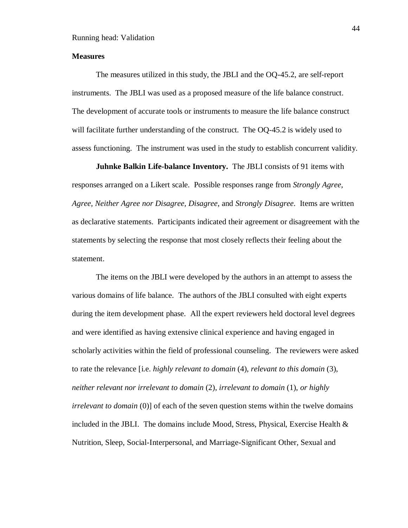## **Measures**

The measures utilized in this study, the JBLI and the OQ-45.2, are self-report instruments. The JBLI was used as a proposed measure of the life balance construct. The development of accurate tools or instruments to measure the life balance construct will facilitate further understanding of the construct. The OQ-45.2 is widely used to assess functioning. The instrument was used in the study to establish concurrent validity.

**Juhnke Balkin Life-balance Inventory.** The JBLI consists of 91 items with responses arranged on a Likert scale. Possible responses range from *Strongly Agree, Agree, Neither Agree nor Disagree, Disagree*, and *Strongly Disagree*. Items are written as declarative statements. Participants indicated their agreement or disagreement with the statements by selecting the response that most closely reflects their feeling about the statement.

The items on the JBLI were developed by the authors in an attempt to assess the various domains of life balance. The authors of the JBLI consulted with eight experts during the item development phase. All the expert reviewers held doctoral level degrees and were identified as having extensive clinical experience and having engaged in scholarly activities within the field of professional counseling. The reviewers were asked to rate the relevance [i.e. *highly relevant to domain* (4), *relevant to this domain* (3), *neither relevant nor irrelevant to domain* (2), *irrelevant to domain* (1), *or highly irrelevant to domain* (0)] of each of the seven question stems within the twelve domains included in the JBLI. The domains include Mood, Stress, Physical, Exercise Health  $\&$ Nutrition, Sleep, Social-Interpersonal, and Marriage-Significant Other, Sexual and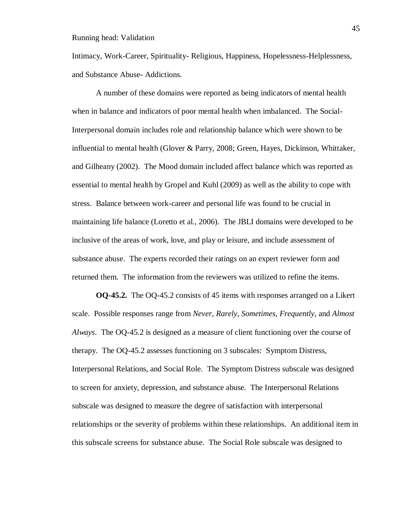Intimacy, Work-Career, Spirituality- Religious, Happiness, Hopelessness-Helplessness, and Substance Abuse- Addictions.

A number of these domains were reported as being indicators of mental health when in balance and indicators of poor mental health when imbalanced. The Social-Interpersonal domain includes role and relationship balance which were shown to be influential to mental health (Glover & Parry, 2008; Green, Hayes, Dickinson, Whittaker, and Gilheany (2002). The Mood domain included affect balance which was reported as essential to mental health by Gropel and Kuhl (2009) as well as the ability to cope with stress. Balance between work-career and personal life was found to be crucial in maintaining life balance (Loretto et al., 2006). The JBLI domains were developed to be inclusive of the areas of work, love, and play or leisure, and include assessment of substance abuse. The experts recorded their ratings on an expert reviewer form and returned them. The information from the reviewers was utilized to refine the items.

**OQ-45.2.** The OQ-45.2 consists of 45 items with responses arranged on a Likert scale. Possible responses range from *Never, Rarely, Sometimes, Frequently*, and *Almost Always*. The OQ-45.2 is designed as a measure of client functioning over the course of therapy. The OQ-45.2 assesses functioning on 3 subscales: Symptom Distress, Interpersonal Relations, and Social Role. The Symptom Distress subscale was designed to screen for anxiety, depression, and substance abuse. The Interpersonal Relations subscale was designed to measure the degree of satisfaction with interpersonal relationships or the severity of problems within these relationships. An additional item in this subscale screens for substance abuse. The Social Role subscale was designed to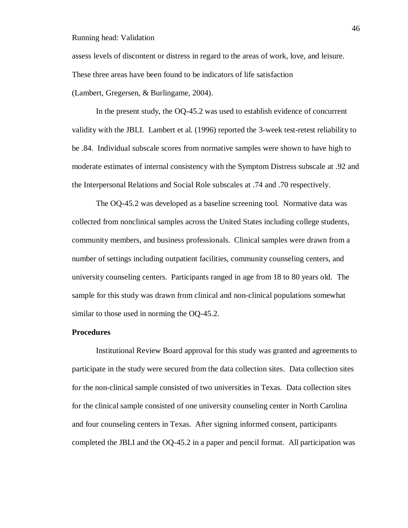assess levels of discontent or distress in regard to the areas of work, love, and leisure. These three areas have been found to be indicators of life satisfaction (Lambert, Gregersen, & Burlingame, 2004).

In the present study, the OQ-45.2 was used to establish evidence of concurrent validity with the JBLI. Lambert et al. (1996) reported the 3-week test-retest reliability to be .84. Individual subscale scores from normative samples were shown to have high to moderate estimates of internal consistency with the Symptom Distress subscale at .92 and the Interpersonal Relations and Social Role subscales at .74 and .70 respectively.

The OQ-45.2 was developed as a baseline screening tool. Normative data was collected from nonclinical samples across the United States including college students, community members, and business professionals. Clinical samples were drawn from a number of settings including outpatient facilities, community counseling centers, and university counseling centers. Participants ranged in age from 18 to 80 years old. The sample for this study was drawn from clinical and non-clinical populations somewhat similar to those used in norming the OQ-45.2.

# **Procedures**

Institutional Review Board approval for this study was granted and agreements to participate in the study were secured from the data collection sites. Data collection sites for the non-clinical sample consisted of two universities in Texas. Data collection sites for the clinical sample consisted of one university counseling center in North Carolina and four counseling centers in Texas. After signing informed consent, participants completed the JBLI and the OQ-45.2 in a paper and pencil format. All participation was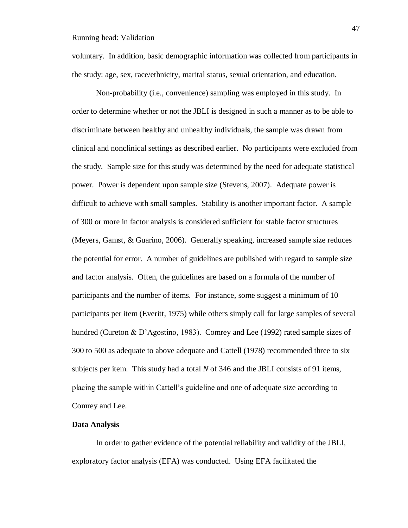voluntary. In addition, basic demographic information was collected from participants in the study: age, sex, race/ethnicity, marital status, sexual orientation, and education.

Non-probability (i.e., convenience) sampling was employed in this study. In order to determine whether or not the JBLI is designed in such a manner as to be able to discriminate between healthy and unhealthy individuals, the sample was drawn from clinical and nonclinical settings as described earlier. No participants were excluded from the study. Sample size for this study was determined by the need for adequate statistical power. Power is dependent upon sample size (Stevens, 2007). Adequate power is difficult to achieve with small samples. Stability is another important factor. A sample of 300 or more in factor analysis is considered sufficient for stable factor structures (Meyers, Gamst, & Guarino, 2006). Generally speaking, increased sample size reduces the potential for error. A number of guidelines are published with regard to sample size and factor analysis. Often, the guidelines are based on a formula of the number of participants and the number of items. For instance, some suggest a minimum of 10 participants per item (Everitt, 1975) while others simply call for large samples of several hundred (Cureton & D'Agostino, 1983). Comrey and Lee (1992) rated sample sizes of 300 to 500 as adequate to above adequate and Cattell (1978) recommended three to six subjects per item. This study had a total *N* of 346 and the JBLI consists of 91 items, placing the sample within Cattell's guideline and one of adequate size according to Comrey and Lee.

## **Data Analysis**

In order to gather evidence of the potential reliability and validity of the JBLI, exploratory factor analysis (EFA) was conducted. Using EFA facilitated the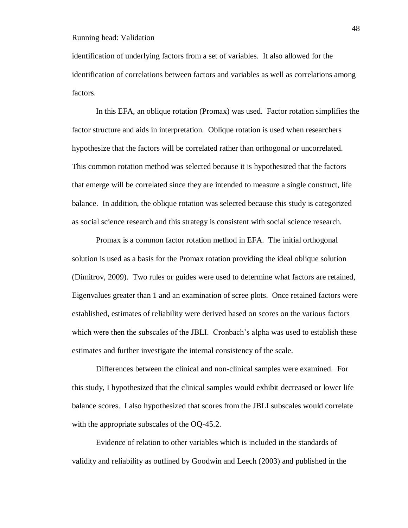identification of underlying factors from a set of variables. It also allowed for the identification of correlations between factors and variables as well as correlations among factors.

In this EFA, an oblique rotation (Promax) was used. Factor rotation simplifies the factor structure and aids in interpretation. Oblique rotation is used when researchers hypothesize that the factors will be correlated rather than orthogonal or uncorrelated. This common rotation method was selected because it is hypothesized that the factors that emerge will be correlated since they are intended to measure a single construct, life balance. In addition, the oblique rotation was selected because this study is categorized as social science research and this strategy is consistent with social science research.

Promax is a common factor rotation method in EFA. The initial orthogonal solution is used as a basis for the Promax rotation providing the ideal oblique solution (Dimitrov, 2009). Two rules or guides were used to determine what factors are retained, Eigenvalues greater than 1 and an examination of scree plots. Once retained factors were established, estimates of reliability were derived based on scores on the various factors which were then the subscales of the JBLI. Cronbach's alpha was used to establish these estimates and further investigate the internal consistency of the scale.

Differences between the clinical and non-clinical samples were examined. For this study, I hypothesized that the clinical samples would exhibit decreased or lower life balance scores. I also hypothesized that scores from the JBLI subscales would correlate with the appropriate subscales of the OQ-45.2.

Evidence of relation to other variables which is included in the standards of validity and reliability as outlined by Goodwin and Leech (2003) and published in the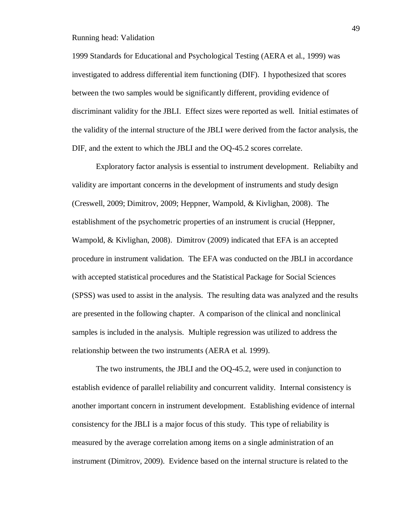1999 Standards for Educational and Psychological Testing (AERA et al., 1999) was investigated to address differential item functioning (DIF). I hypothesized that scores between the two samples would be significantly different, providing evidence of discriminant validity for the JBLI. Effect sizes were reported as well. Initial estimates of the validity of the internal structure of the JBLI were derived from the factor analysis, the DIF, and the extent to which the JBLI and the OQ-45.2 scores correlate.

Exploratory factor analysis is essential to instrument development. Reliabilty and validity are important concerns in the development of instruments and study design (Creswell, 2009; Dimitrov, 2009; Heppner, Wampold, & Kivlighan, 2008). The establishment of the psychometric properties of an instrument is crucial (Heppner, Wampold, & Kivlighan, 2008). Dimitrov (2009) indicated that EFA is an accepted procedure in instrument validation. The EFA was conducted on the JBLI in accordance with accepted statistical procedures and the Statistical Package for Social Sciences (SPSS) was used to assist in the analysis. The resulting data was analyzed and the results are presented in the following chapter. A comparison of the clinical and nonclinical samples is included in the analysis. Multiple regression was utilized to address the relationship between the two instruments (AERA et al. 1999).

The two instruments, the JBLI and the OQ-45.2, were used in conjunction to establish evidence of parallel reliability and concurrent validity. Internal consistency is another important concern in instrument development. Establishing evidence of internal consistency for the JBLI is a major focus of this study. This type of reliability is measured by the average correlation among items on a single administration of an instrument (Dimitrov, 2009). Evidence based on the internal structure is related to the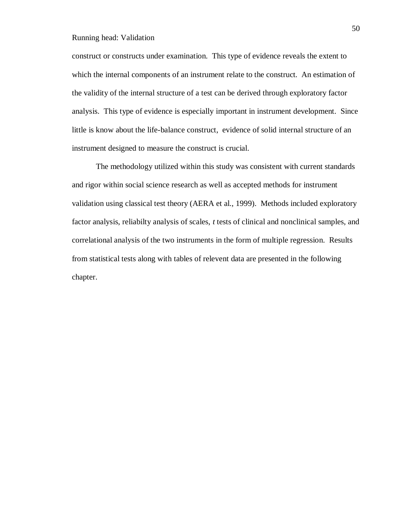construct or constructs under examination. This type of evidence reveals the extent to which the internal components of an instrument relate to the construct. An estimation of the validity of the internal structure of a test can be derived through exploratory factor analysis. This type of evidence is especially important in instrument development. Since little is know about the life-balance construct, evidence of solid internal structure of an instrument designed to measure the construct is crucial.

The methodology utilized within this study was consistent with current standards and rigor within social science research as well as accepted methods for instrument validation using classical test theory (AERA et al., 1999). Methods included exploratory factor analysis, reliabilty analysis of scales, *t* tests of clinical and nonclinical samples, and correlational analysis of the two instruments in the form of multiple regression. Results from statistical tests along with tables of relevent data are presented in the following chapter.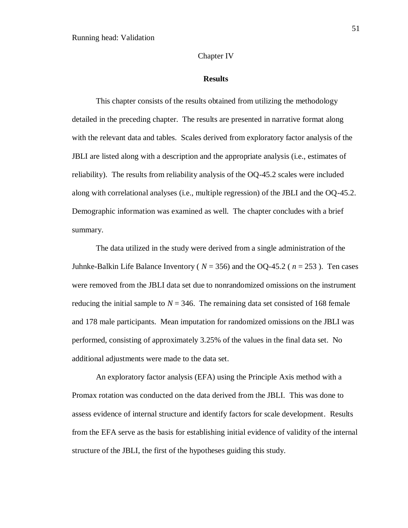## Chapter IV

#### **Results**

This chapter consists of the results obtained from utilizing the methodology detailed in the preceding chapter. The results are presented in narrative format along with the relevant data and tables. Scales derived from exploratory factor analysis of the JBLI are listed along with a description and the appropriate analysis (i.e., estimates of reliability). The results from reliability analysis of the OQ-45.2 scales were included along with correlational analyses (i.e., multiple regression) of the JBLI and the OQ-45.2. Demographic information was examined as well. The chapter concludes with a brief summary.

The data utilized in the study were derived from a single administration of the Juhnke-Balkin Life Balance Inventory ( $N = 356$ ) and the OQ-45.2 ( $n = 253$ ). Ten cases were removed from the JBLI data set due to nonrandomized omissions on the instrument reducing the initial sample to  $N = 346$ . The remaining data set consisted of 168 female and 178 male participants. Mean imputation for randomized omissions on the JBLI was performed, consisting of approximately 3.25% of the values in the final data set. No additional adjustments were made to the data set.

An exploratory factor analysis (EFA) using the Principle Axis method with a Promax rotation was conducted on the data derived from the JBLI. This was done to assess evidence of internal structure and identify factors for scale development. Results from the EFA serve as the basis for establishing initial evidence of validity of the internal structure of the JBLI, the first of the hypotheses guiding this study.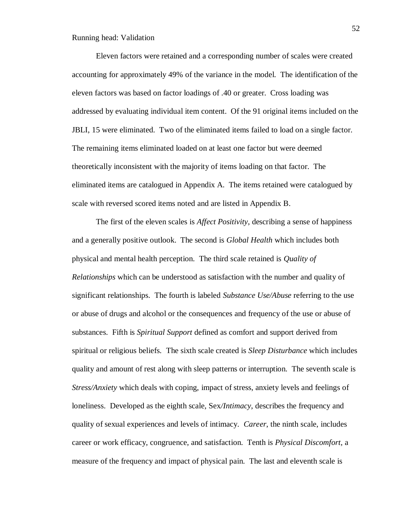Eleven factors were retained and a corresponding number of scales were created accounting for approximately 49% of the variance in the model. The identification of the eleven factors was based on factor loadings of .40 or greater. Cross loading was addressed by evaluating individual item content. Of the 91 original items included on the JBLI, 15 were eliminated. Two of the eliminated items failed to load on a single factor. The remaining items eliminated loaded on at least one factor but were deemed theoretically inconsistent with the majority of items loading on that factor. The eliminated items are catalogued in Appendix A. The items retained were catalogued by scale with reversed scored items noted and are listed in Appendix B.

The first of the eleven scales is *Affect Positivity*, describing a sense of happiness and a generally positive outlook. The second is *Global Health* which includes both physical and mental health perception. The third scale retained is *Quality of Relationships* which can be understood as satisfaction with the number and quality of significant relationships. The fourth is labeled *Substance Use/Abuse* referring to the use or abuse of drugs and alcohol or the consequences and frequency of the use or abuse of substances. Fifth is *Spiritual Support* defined as comfort and support derived from spiritual or religious beliefs*.* The sixth scale created is *Sleep Disturbance* which includes quality and amount of rest along with sleep patterns or interruption. The seventh scale is *Stress/Anxiety* which deals with coping, impact of stress, anxiety levels and feelings of loneliness. Developed as the eighth scale, Sex*/Intimacy*, describes the frequency and quality of sexual experiences and levels of intimacy. *Career*, the ninth scale, includes career or work efficacy, congruence, and satisfaction. Tenth is *Physical Discomfort*, a measure of the frequency and impact of physical pain. The last and eleventh scale is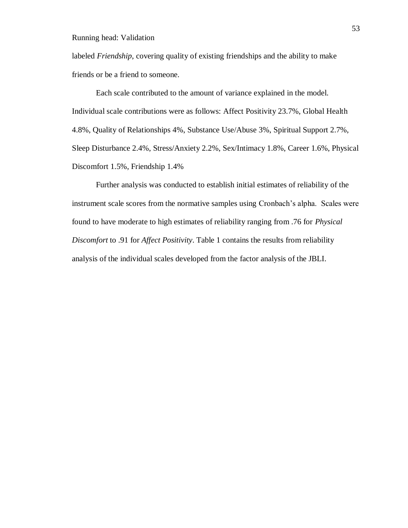labeled *Friendship*, covering quality of existing friendships and the ability to make friends or be a friend to someone.

Each scale contributed to the amount of variance explained in the model. Individual scale contributions were as follows: Affect Positivity 23.7%, Global Health 4.8%, Quality of Relationships 4%, Substance Use/Abuse 3%, Spiritual Support 2.7%, Sleep Disturbance 2.4%, Stress/Anxiety 2.2%, Sex/Intimacy 1.8%, Career 1.6%, Physical Discomfort 1.5%, Friendship 1.4%

Further analysis was conducted to establish initial estimates of reliability of the instrument scale scores from the normative samples using Cronbach's alpha. Scales were found to have moderate to high estimates of reliability ranging from .76 for *Physical Discomfort* to .91 for *Affect Positivity*. Table 1 contains the results from reliability analysis of the individual scales developed from the factor analysis of the JBLI.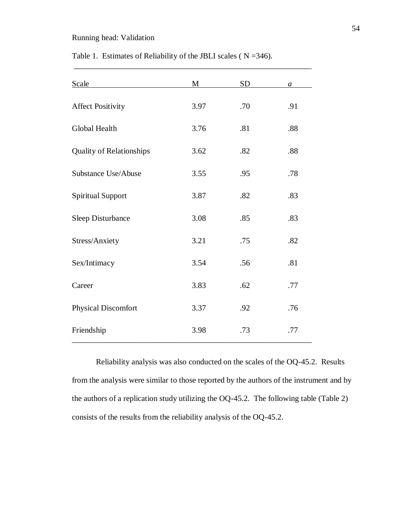| Scale                           | М    | <b>SD</b> | $\boldsymbol{a}$ |
|---------------------------------|------|-----------|------------------|
| <b>Affect Positivity</b>        | 3.97 | .70       | .91              |
| Global Health                   | 3.76 | .81       | .88              |
| <b>Quality of Relationships</b> | 3.62 | .82       | .88              |
| Substance Use/Abuse             | 3.55 | .95       | .78              |
| <b>Spiritual Support</b>        | 3.87 | .82       | .83              |
| <b>Sleep Disturbance</b>        | 3.08 | .85       | .83              |
| Stress/Anxiety                  | 3.21 | .75       | .82              |
| Sex/Intimacy                    | 3.54 | .56       | .81              |
| Career                          | 3.83 | .62       | .77              |
| <b>Physical Discomfort</b>      | 3.37 | .92       | .76              |
| Friendship                      | 3.98 | .73       | .77              |

Table 1. Estimates of Reliability of the JBLI scales ( $N = 346$ ).

\_\_\_\_\_\_\_\_\_\_\_\_\_\_\_\_\_\_\_\_\_\_\_\_\_\_\_\_\_\_\_\_\_\_\_\_\_\_\_\_\_\_\_\_\_\_\_\_\_\_\_\_\_\_\_\_\_\_\_

Reliability analysis was also conducted on the scales of the OQ-45.2. Results from the analysis were similar to those reported by the authors of the instrument and by the authors of a replication study utilizing the OQ-45.2. The following table (Table 2) consists of the results from the reliability analysis of the OQ-45.2.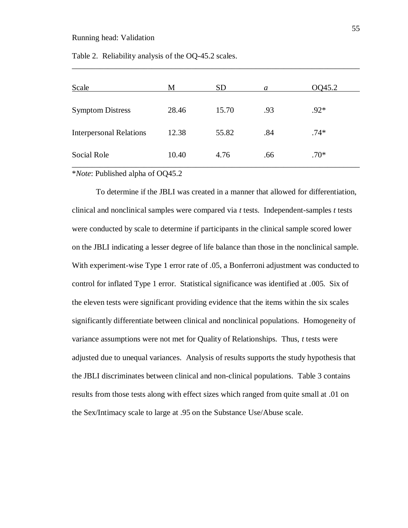| Scale                                | M       | <b>SD</b> | a   | OQ45.2 |
|--------------------------------------|---------|-----------|-----|--------|
| <b>Symptom Distress</b>              | 28.46   | 15.70     | .93 | $.92*$ |
| <b>Interpersonal Relations</b>       | 12.38   | 55.82     | .84 | $.74*$ |
| Social Role                          | 10.40   | 4.76      | .66 | $.70*$ |
| $437.7$ $\sqrt{21111}$ $\sqrt{1111}$ | 0.00152 |           |     |        |

\_\_\_\_\_\_\_\_\_\_\_\_\_\_\_\_\_\_\_\_\_\_\_\_\_\_\_\_\_\_\_\_\_\_\_\_\_\_\_\_\_\_\_\_\_\_\_\_\_\_\_\_\_\_\_\_\_\_\_\_\_\_\_\_\_\_\_\_\_\_\_\_

Table 2. Reliability analysis of the OQ-45.2 scales.

\**Note*: Published alpha of OQ45.2

To determine if the JBLI was created in a manner that allowed for differentiation, clinical and nonclinical samples were compared via *t* tests. Independent-samples *t* tests were conducted by scale to determine if participants in the clinical sample scored lower on the JBLI indicating a lesser degree of life balance than those in the nonclinical sample. With experiment-wise Type 1 error rate of .05, a Bonferroni adjustment was conducted to control for inflated Type 1 error. Statistical significance was identified at .005. Six of the eleven tests were significant providing evidence that the items within the six scales significantly differentiate between clinical and nonclinical populations. Homogeneity of variance assumptions were not met for Quality of Relationships. Thus, *t* tests were adjusted due to unequal variances. Analysis of results supports the study hypothesis that the JBLI discriminates between clinical and non-clinical populations. Table 3 contains results from those tests along with effect sizes which ranged from quite small at .01 on the Sex/Intimacy scale to large at .95 on the Substance Use/Abuse scale.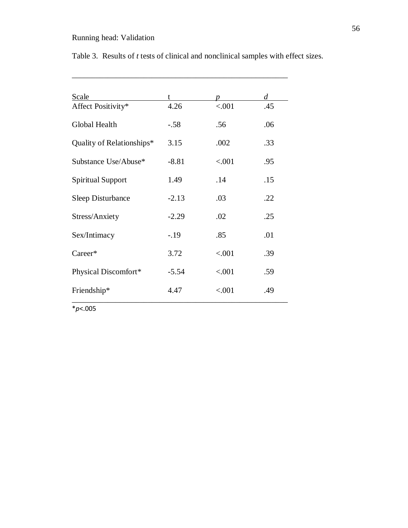| Scale                     | t       | D         | d   |
|---------------------------|---------|-----------|-----|
| Affect Positivity*        | 4.26    | ${<}.001$ | .45 |
| Global Health             | $-.58$  | .56       | .06 |
| Quality of Relationships* | 3.15    | .002      | .33 |
| Substance Use/Abuse*      | $-8.81$ | < .001    | .95 |
| <b>Spiritual Support</b>  | 1.49    | .14       | .15 |
| <b>Sleep Disturbance</b>  | $-2.13$ | .03       | .22 |
| Stress/Anxiety            | $-2.29$ | .02       | .25 |
| Sex/Intimacy              | $-.19$  | .85       | .01 |
| Career*                   | 3.72    | < .001    | .39 |
| Physical Discomfort*      | $-5.54$ | < .001    | .59 |
| Friendship*               | 4.47    | < .001    | .49 |

Table 3. Results of *t* tests of clinical and nonclinical samples with effect sizes.

\_\_\_\_\_\_\_\_\_\_\_\_\_\_\_\_\_\_\_\_\_\_\_\_\_\_\_\_\_\_\_\_\_\_\_\_\_\_\_\_\_\_\_\_\_\_\_\_\_\_\_\_\_\_

\**p*<.005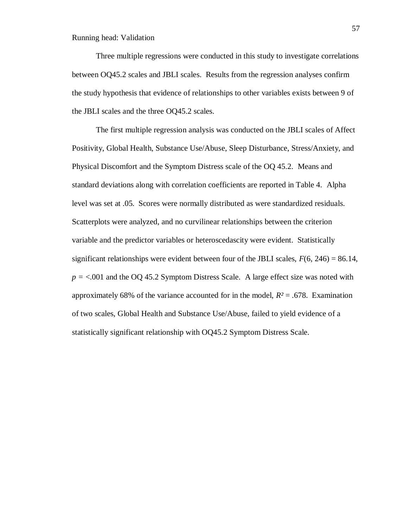Three multiple regressions were conducted in this study to investigate correlations between OQ45.2 scales and JBLI scales. Results from the regression analyses confirm the study hypothesis that evidence of relationships to other variables exists between 9 of the JBLI scales and the three OQ45.2 scales.

The first multiple regression analysis was conducted on the JBLI scales of Affect Positivity, Global Health, Substance Use/Abuse, Sleep Disturbance, Stress/Anxiety, and Physical Discomfort and the Symptom Distress scale of the OQ 45.2. Means and standard deviations along with correlation coefficients are reported in Table 4. Alpha level was set at .05. Scores were normally distributed as were standardized residuals. Scatterplots were analyzed, and no curvilinear relationships between the criterion variable and the predictor variables or heteroscedascity were evident. Statistically significant relationships were evident between four of the JBLI scales,  $F(6, 246) = 86.14$ , *p =* <.001 and the OQ 45.2 Symptom Distress Scale. A large effect size was noted with approximately 68% of the variance accounted for in the model,  $R^2 = .678$ . Examination of two scales, Global Health and Substance Use/Abuse, failed to yield evidence of a statistically significant relationship with OQ45.2 Symptom Distress Scale.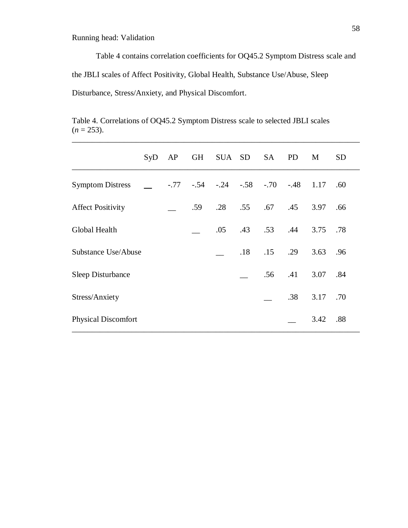Table 4 contains correlation coefficients for OQ45.2 Symptom Distress scale and the JBLI scales of Affect Positivity, Global Health, Substance Use/Abuse, Sleep Disturbance, Stress/Anxiety, and Physical Discomfort.

Table 4. Correlations of OQ45.2 Symptom Distress scale to selected JBLI scales  $(n = 253)$ . \_\_\_\_\_\_\_\_\_\_\_\_\_\_\_\_\_\_\_\_\_\_\_\_\_\_\_\_\_\_\_\_\_\_\_\_\_\_\_\_\_\_\_\_\_\_\_\_\_\_\_\_\_\_\_\_\_\_\_\_\_\_\_\_\_\_\_\_\_\_\_\_

|                            | SyD | AP |     | GH SUA SD SA             |     |     | <b>PD</b>      | M    | <b>SD</b> |
|----------------------------|-----|----|-----|--------------------------|-----|-----|----------------|------|-----------|
| <b>Symptom Distress</b>    |     |    |     | $-.77 - .54 - .24 - .58$ |     |     | $-.70-.48.117$ |      | .60       |
| <b>Affect Positivity</b>   |     |    | .59 | .28                      | .55 | .67 | .45            | 3.97 | .66       |
| Global Health              |     |    |     | .05                      | .43 | .53 | .44            | 3.75 | .78       |
| Substance Use/Abuse        |     |    |     |                          | .18 | .15 | .29            | 3.63 | .96       |
| Sleep Disturbance          |     |    |     |                          |     | .56 | .41            | 3.07 | .84       |
| Stress/Anxiety             |     |    |     |                          |     |     | .38            | 3.17 | .70       |
| <b>Physical Discomfort</b> |     |    |     |                          |     |     |                | 3.42 | .88       |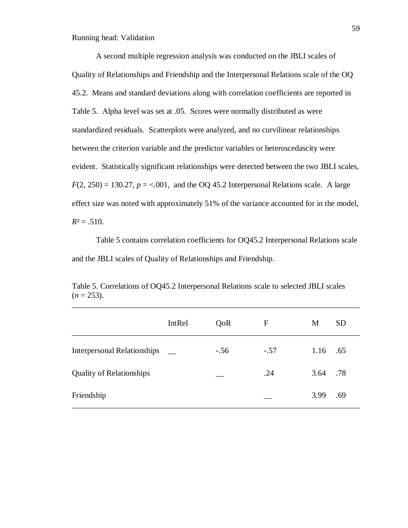A second multiple regression analysis was conducted on the JBLI scales of Quality of Relationships and Friendship and the Interpersonal Relations scale of the OQ 45.2. Means and standard deviations along with correlation coefficients are reported in Table 5. Alpha level was set at .05. Scores were normally distributed as were standardized residuals. Scatterplots were analyzed, and no curvilinear relationships between the criterion variable and the predictor variables or heteroscedascity were evident. Statistically significant relationships were detected between the two JBLI scales,  $F(2, 250) = 130.27$ ,  $p = < .001$ , and the OQ 45.2 Interpersonal Relations scale. A large effect size was noted with approximately 51% of the variance accounted for in the model,  $R^2 = .510$ .

Table 5 contains correlation coefficients for OQ45.2 Interpersonal Relations scale and the JBLI scales of Quality of Relationships and Friendship.

|                                    | IntRel | QoR    | $\mathbf{F}$ | M        | <b>SD</b> |
|------------------------------------|--------|--------|--------------|----------|-----------|
| <b>Interpersonal Relationships</b> |        | $-.56$ | $-.57$       | 1.16     | .65       |
| <b>Quality of Relationships</b>    |        |        | .24          | 3.64 .78 |           |
| Friendship                         |        |        |              | 3.99     | .69       |

Table 5. Correlations of OQ45.2 Interpersonal Relations scale to selected JBLI scales  $(n = 253)$ . \_\_\_\_\_\_\_\_\_\_\_\_\_\_\_\_\_\_\_\_\_\_\_\_\_\_\_\_\_\_\_\_\_\_\_\_\_\_\_\_\_\_\_\_\_\_\_\_\_\_\_\_\_\_\_\_\_\_\_\_\_\_\_\_\_\_\_\_\_\_\_\_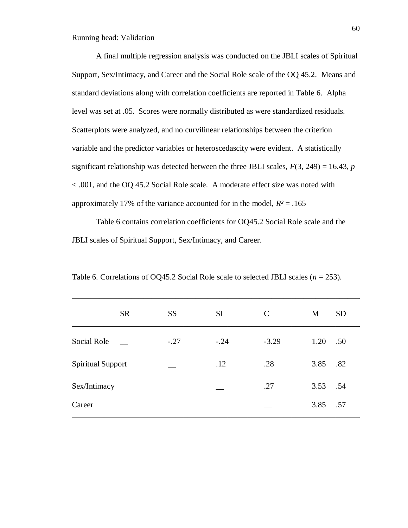A final multiple regression analysis was conducted on the JBLI scales of Spiritual Support, Sex/Intimacy, and Career and the Social Role scale of the OQ 45.2. Means and standard deviations along with correlation coefficients are reported in Table 6. Alpha level was set at .05. Scores were normally distributed as were standardized residuals. Scatterplots were analyzed, and no curvilinear relationships between the criterion variable and the predictor variables or heteroscedascity were evident. A statistically significant relationship was detected between the three JBLI scales,  $F(3, 249) = 16.43$ , *p* < .001, and the OQ 45.2 Social Role scale. A moderate effect size was noted with approximately 17% of the variance accounted for in the model,  $R^2 = .165$ 

Table 6 contains correlation coefficients for OQ45.2 Social Role scale and the JBLI scales of Spiritual Support, Sex/Intimacy, and Career.

|                          | <b>SR</b> | <b>SS</b> | <b>SI</b> | $\mathcal{C}$ | <b>SD</b><br>M |
|--------------------------|-----------|-----------|-----------|---------------|----------------|
| Social Role              |           | $-.27$    | $-.24$    | $-3.29$       | 1.20<br>.50    |
| <b>Spiritual Support</b> |           |           | .12       | .28           | 3.85<br>.82    |
| Sex/Intimacy             |           |           |           | .27           | 3.53<br>.54    |
| Career                   |           |           |           |               | 3.85<br>.57    |

Table 6. Correlations of OQ45.2 Social Role scale to selected JBLI scales (*n* = 253).

\_\_\_\_\_\_\_\_\_\_\_\_\_\_\_\_\_\_\_\_\_\_\_\_\_\_\_\_\_\_\_\_\_\_\_\_\_\_\_\_\_\_\_\_\_\_\_\_\_\_\_\_\_\_\_\_\_\_\_\_\_\_\_\_\_\_\_\_\_\_\_\_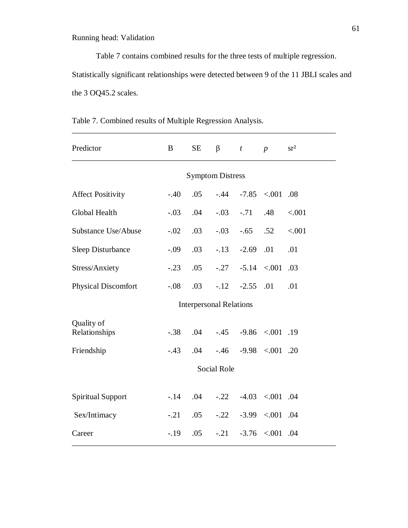Table 7 contains combined results for the three tests of multiple regression. Statistically significant relationships were detected between 9 of the 11 JBLI scales and the 3 OQ45.2 scales.

| Predictor                   | B      | <b>SE</b> | $\beta$                        | $\boldsymbol{t}$ | $\boldsymbol{p}$             | sr <sup>2</sup> |  |
|-----------------------------|--------|-----------|--------------------------------|------------------|------------------------------|-----------------|--|
| <b>Symptom Distress</b>     |        |           |                                |                  |                              |                 |  |
| <b>Affect Positivity</b>    | $-.40$ | .05       | $-.44$                         |                  | $-7.85$ < 001 .08            |                 |  |
| Global Health               | $-.03$ | .04       | $-.03$                         | $-.71$           | .48                          | < .001          |  |
| Substance Use/Abuse         | $-.02$ | .03       | $-.03$                         | $-.65$           | .52                          | < .001          |  |
| <b>Sleep Disturbance</b>    | $-.09$ | .03       | $-.13$                         | $-2.69$          | .01                          | .01             |  |
| Stress/Anxiety              | $-.23$ | .05       | $-.27$                         |                  | $-5.14 \quad < 0.01$         | .03             |  |
| <b>Physical Discomfort</b>  | $-.08$ | .03       | $-.12$                         | $-2.55$          | .01                          | .01             |  |
|                             |        |           | <b>Interpersonal Relations</b> |                  |                              |                 |  |
| Quality of<br>Relationships | $-.38$ | .04       |                                |                  | $-.45$ $-.9.86$ $< .001$ .19 |                 |  |
| Friendship                  | $-.43$ | .04       | $-.46$                         |                  | $-9.98$ < 001 .20            |                 |  |
|                             |        |           | <b>Social Role</b>             |                  |                              |                 |  |
| <b>Spiritual Support</b>    | $-14$  | .04       | $-.22$                         |                  | $-4.03$ < 001 .04            |                 |  |
| Sex/Intimacy                | $-.21$ | .05       | $-.22$                         |                  | $-3.99$ < 001 .04            |                 |  |
| Career                      | $-.19$ | .05       | $-.21$                         |                  | $-3.76$ < 001 .04            |                 |  |

Table 7. Combined results of Multiple Regression Analysis.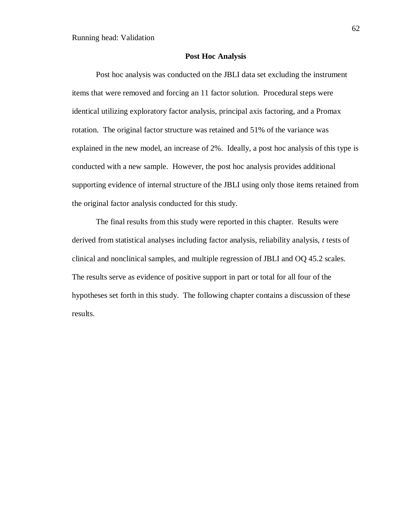## **Post Hoc Analysis**

Post hoc analysis was conducted on the JBLI data set excluding the instrument items that were removed and forcing an 11 factor solution. Procedural steps were identical utilizing exploratory factor analysis, principal axis factoring, and a Promax rotation. The original factor structure was retained and 51% of the variance was explained in the new model, an increase of 2%. Ideally, a post hoc analysis of this type is conducted with a new sample. However, the post hoc analysis provides additional supporting evidence of internal structure of the JBLI using only those items retained from the original factor analysis conducted for this study.

The final results from this study were reported in this chapter. Results were derived from statistical analyses including factor analysis, reliability analysis, *t* tests of clinical and nonclinical samples, and multiple regression of JBLI and OQ 45.2 scales. The results serve as evidence of positive support in part or total for all four of the hypotheses set forth in this study. The following chapter contains a discussion of these results.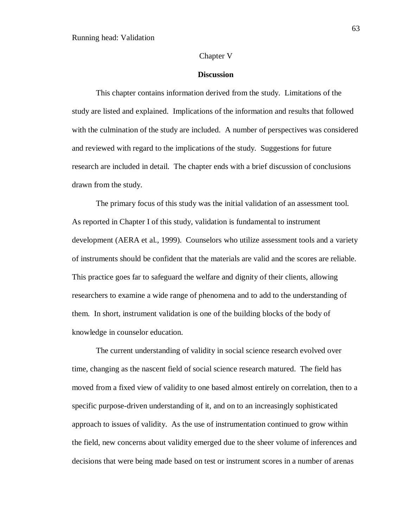## Chapter V

#### **Discussion**

This chapter contains information derived from the study. Limitations of the study are listed and explained. Implications of the information and results that followed with the culmination of the study are included. A number of perspectives was considered and reviewed with regard to the implications of the study. Suggestions for future research are included in detail. The chapter ends with a brief discussion of conclusions drawn from the study.

The primary focus of this study was the initial validation of an assessment tool. As reported in Chapter I of this study, validation is fundamental to instrument development (AERA et al., 1999). Counselors who utilize assessment tools and a variety of instruments should be confident that the materials are valid and the scores are reliable. This practice goes far to safeguard the welfare and dignity of their clients, allowing researchers to examine a wide range of phenomena and to add to the understanding of them. In short, instrument validation is one of the building blocks of the body of knowledge in counselor education.

The current understanding of validity in social science research evolved over time, changing as the nascent field of social science research matured. The field has moved from a fixed view of validity to one based almost entirely on correlation, then to a specific purpose-driven understanding of it, and on to an increasingly sophisticated approach to issues of validity. As the use of instrumentation continued to grow within the field, new concerns about validity emerged due to the sheer volume of inferences and decisions that were being made based on test or instrument scores in a number of arenas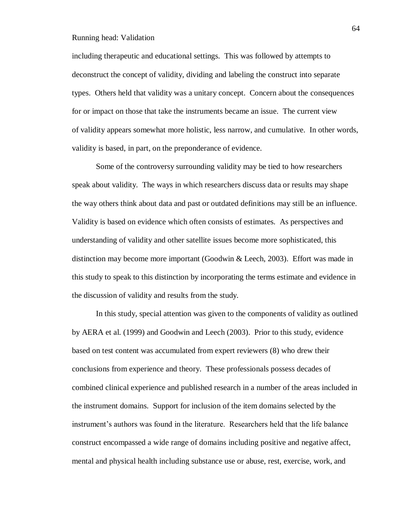including therapeutic and educational settings. This was followed by attempts to deconstruct the concept of validity, dividing and labeling the construct into separate types. Others held that validity was a unitary concept. Concern about the consequences for or impact on those that take the instruments became an issue. The current view of validity appears somewhat more holistic, less narrow, and cumulative. In other words, validity is based, in part, on the preponderance of evidence.

Some of the controversy surrounding validity may be tied to how researchers speak about validity. The ways in which researchers discuss data or results may shape the way others think about data and past or outdated definitions may still be an influence. Validity is based on evidence which often consists of estimates. As perspectives and understanding of validity and other satellite issues become more sophisticated, this distinction may become more important (Goodwin & Leech, 2003). Effort was made in this study to speak to this distinction by incorporating the terms estimate and evidence in the discussion of validity and results from the study.

In this study, special attention was given to the components of validity as outlined by AERA et al. (1999) and Goodwin and Leech (2003). Prior to this study, evidence based on test content was accumulated from expert reviewers (8) who drew their conclusions from experience and theory. These professionals possess decades of combined clinical experience and published research in a number of the areas included in the instrument domains. Support for inclusion of the item domains selected by the instrument's authors was found in the literature. Researchers held that the life balance construct encompassed a wide range of domains including positive and negative affect, mental and physical health including substance use or abuse, rest, exercise, work, and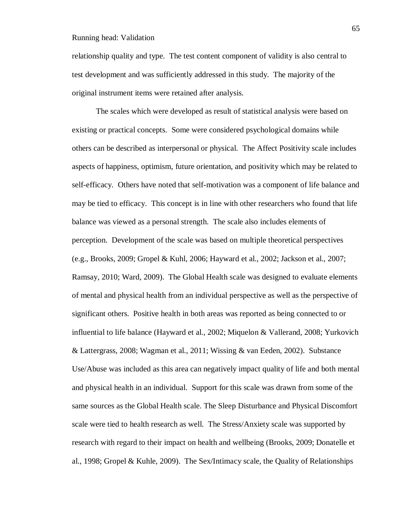relationship quality and type. The test content component of validity is also central to test development and was sufficiently addressed in this study. The majority of the original instrument items were retained after analysis.

The scales which were developed as result of statistical analysis were based on existing or practical concepts. Some were considered psychological domains while others can be described as interpersonal or physical. The Affect Positivity scale includes aspects of happiness, optimism, future orientation, and positivity which may be related to self-efficacy. Others have noted that self-motivation was a component of life balance and may be tied to efficacy. This concept is in line with other researchers who found that life balance was viewed as a personal strength. The scale also includes elements of perception. Development of the scale was based on multiple theoretical perspectives (e.g., Brooks, 2009; Gropel & Kuhl, 2006; Hayward et al., 2002; Jackson et al., 2007; Ramsay, 2010; Ward, 2009). The Global Health scale was designed to evaluate elements of mental and physical health from an individual perspective as well as the perspective of significant others. Positive health in both areas was reported as being connected to or influential to life balance (Hayward et al., 2002; Miquelon & Vallerand, 2008; Yurkovich & Lattergrass, 2008; Wagman et al., 2011; Wissing & van Eeden, 2002). Substance Use/Abuse was included as this area can negatively impact quality of life and both mental and physical health in an individual. Support for this scale was drawn from some of the same sources as the Global Health scale. The Sleep Disturbance and Physical Discomfort scale were tied to health research as well. The Stress/Anxiety scale was supported by research with regard to their impact on health and wellbeing (Brooks, 2009; Donatelle et al., 1998; Gropel & Kuhle, 2009). The Sex/Intimacy scale, the Quality of Relationships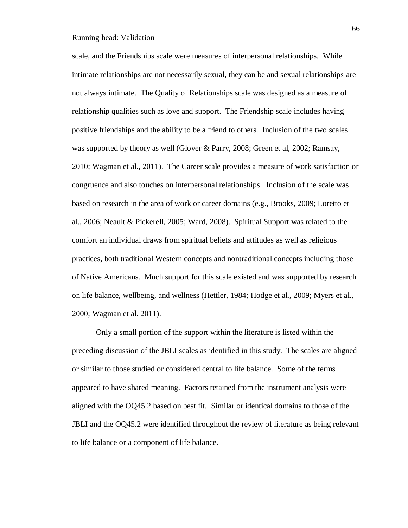scale, and the Friendships scale were measures of interpersonal relationships. While intimate relationships are not necessarily sexual, they can be and sexual relationships are not always intimate. The Quality of Relationships scale was designed as a measure of relationship qualities such as love and support. The Friendship scale includes having positive friendships and the ability to be a friend to others. Inclusion of the two scales was supported by theory as well (Glover & Parry, 2008; Green et al, 2002; Ramsay, 2010; Wagman et al., 2011). The Career scale provides a measure of work satisfaction or congruence and also touches on interpersonal relationships. Inclusion of the scale was based on research in the area of work or career domains (e.g., Brooks, 2009; Loretto et al., 2006; Neault & Pickerell, 2005; Ward, 2008). Spiritual Support was related to the comfort an individual draws from spiritual beliefs and attitudes as well as religious practices, both traditional Western concepts and nontraditional concepts including those of Native Americans. Much support for this scale existed and was supported by research on life balance, wellbeing, and wellness (Hettler, 1984; Hodge et al., 2009; Myers et al., 2000; Wagman et al. 2011).

Only a small portion of the support within the literature is listed within the preceding discussion of the JBLI scales as identified in this study. The scales are aligned or similar to those studied or considered central to life balance. Some of the terms appeared to have shared meaning. Factors retained from the instrument analysis were aligned with the OQ45.2 based on best fit. Similar or identical domains to those of the JBLI and the OQ45.2 were identified throughout the review of literature as being relevant to life balance or a component of life balance.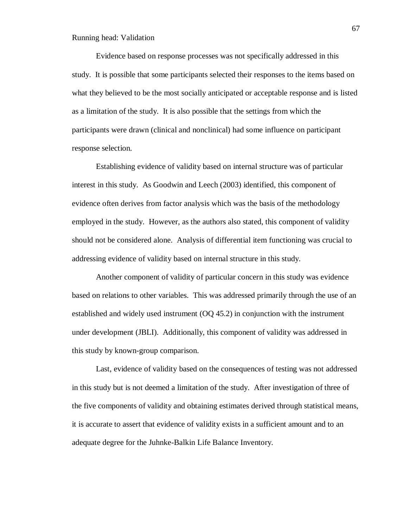Evidence based on response processes was not specifically addressed in this study. It is possible that some participants selected their responses to the items based on what they believed to be the most socially anticipated or acceptable response and is listed as a limitation of the study. It is also possible that the settings from which the participants were drawn (clinical and nonclinical) had some influence on participant response selection.

Establishing evidence of validity based on internal structure was of particular interest in this study. As Goodwin and Leech (2003) identified, this component of evidence often derives from factor analysis which was the basis of the methodology employed in the study. However, as the authors also stated, this component of validity should not be considered alone. Analysis of differential item functioning was crucial to addressing evidence of validity based on internal structure in this study.

Another component of validity of particular concern in this study was evidence based on relations to other variables. This was addressed primarily through the use of an established and widely used instrument (OQ 45.2) in conjunction with the instrument under development (JBLI). Additionally, this component of validity was addressed in this study by known-group comparison.

Last, evidence of validity based on the consequences of testing was not addressed in this study but is not deemed a limitation of the study. After investigation of three of the five components of validity and obtaining estimates derived through statistical means, it is accurate to assert that evidence of validity exists in a sufficient amount and to an adequate degree for the Juhnke-Balkin Life Balance Inventory.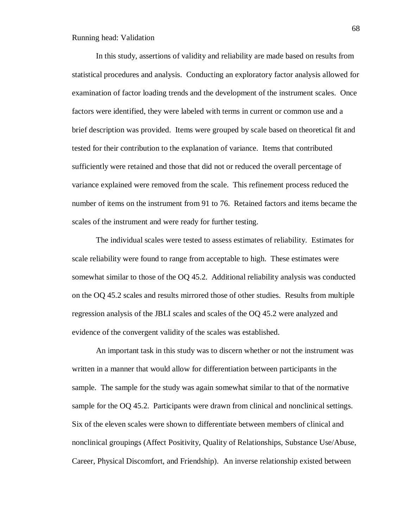In this study, assertions of validity and reliability are made based on results from statistical procedures and analysis. Conducting an exploratory factor analysis allowed for examination of factor loading trends and the development of the instrument scales. Once factors were identified, they were labeled with terms in current or common use and a brief description was provided. Items were grouped by scale based on theoretical fit and tested for their contribution to the explanation of variance. Items that contributed sufficiently were retained and those that did not or reduced the overall percentage of variance explained were removed from the scale. This refinement process reduced the number of items on the instrument from 91 to 76. Retained factors and items became the scales of the instrument and were ready for further testing.

The individual scales were tested to assess estimates of reliability. Estimates for scale reliability were found to range from acceptable to high. These estimates were somewhat similar to those of the OQ 45.2. Additional reliability analysis was conducted on the OQ 45.2 scales and results mirrored those of other studies. Results from multiple regression analysis of the JBLI scales and scales of the OQ 45.2 were analyzed and evidence of the convergent validity of the scales was established.

An important task in this study was to discern whether or not the instrument was written in a manner that would allow for differentiation between participants in the sample. The sample for the study was again somewhat similar to that of the normative sample for the OQ 45.2. Participants were drawn from clinical and nonclinical settings. Six of the eleven scales were shown to differentiate between members of clinical and nonclinical groupings (Affect Positivity, Quality of Relationships, Substance Use/Abuse, Career, Physical Discomfort, and Friendship). An inverse relationship existed between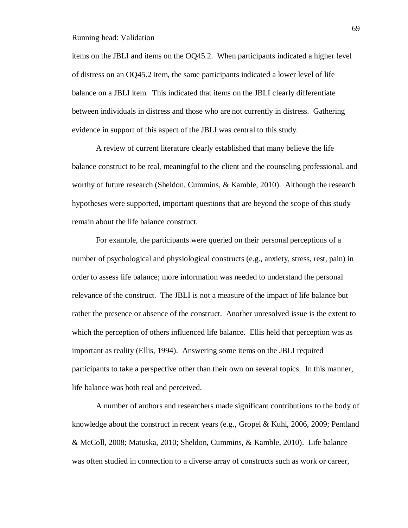items on the JBLI and items on the OQ45.2. When participants indicated a higher level of distress on an OQ45.2 item, the same participants indicated a lower level of life balance on a JBLI item. This indicated that items on the JBLI clearly differentiate between individuals in distress and those who are not currently in distress. Gathering evidence in support of this aspect of the JBLI was central to this study.

A review of current literature clearly established that many believe the life balance construct to be real, meaningful to the client and the counseling professional, and worthy of future research (Sheldon, Cummins, & Kamble, 2010). Although the research hypotheses were supported, important questions that are beyond the scope of this study remain about the life balance construct.

For example, the participants were queried on their personal perceptions of a number of psychological and physiological constructs (e.g., anxiety, stress, rest, pain) in order to assess life balance; more information was needed to understand the personal relevance of the construct. The JBLI is not a measure of the impact of life balance but rather the presence or absence of the construct. Another unresolved issue is the extent to which the perception of others influenced life balance. Ellis held that perception was as important as reality (Ellis, 1994). Answering some items on the JBLI required participants to take a perspective other than their own on several topics. In this manner, life balance was both real and perceived.

A number of authors and researchers made significant contributions to the body of knowledge about the construct in recent years (e.g., Gropel & Kuhl, 2006, 2009; Pentland & McColl, 2008; Matuska, 2010; Sheldon, Cummins, & Kamble, 2010). Life balance was often studied in connection to a diverse array of constructs such as work or career,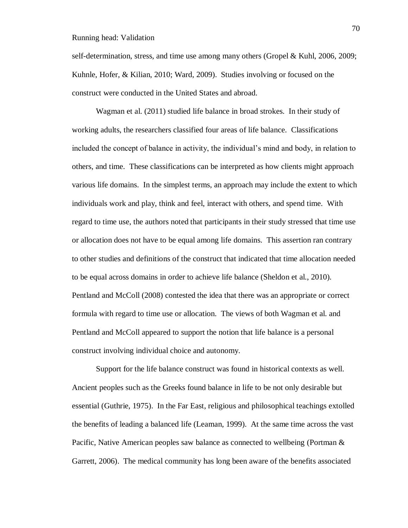self-determination, stress, and time use among many others (Gropel & Kuhl, 2006, 2009; Kuhnle, Hofer, & Kilian, 2010; Ward, 2009). Studies involving or focused on the construct were conducted in the United States and abroad.

Wagman et al. (2011) studied life balance in broad strokes. In their study of working adults, the researchers classified four areas of life balance. Classifications included the concept of balance in activity, the individual's mind and body, in relation to others, and time. These classifications can be interpreted as how clients might approach various life domains. In the simplest terms, an approach may include the extent to which individuals work and play, think and feel, interact with others, and spend time. With regard to time use, the authors noted that participants in their study stressed that time use or allocation does not have to be equal among life domains. This assertion ran contrary to other studies and definitions of the construct that indicated that time allocation needed to be equal across domains in order to achieve life balance (Sheldon et al., 2010). Pentland and McColl (2008) contested the idea that there was an appropriate or correct formula with regard to time use or allocation. The views of both Wagman et al. and Pentland and McColl appeared to support the notion that life balance is a personal construct involving individual choice and autonomy.

Support for the life balance construct was found in historical contexts as well. Ancient peoples such as the Greeks found balance in life to be not only desirable but essential (Guthrie, 1975). In the Far East, religious and philosophical teachings extolled the benefits of leading a balanced life (Leaman, 1999). At the same time across the vast Pacific, Native American peoples saw balance as connected to wellbeing (Portman & Garrett, 2006). The medical community has long been aware of the benefits associated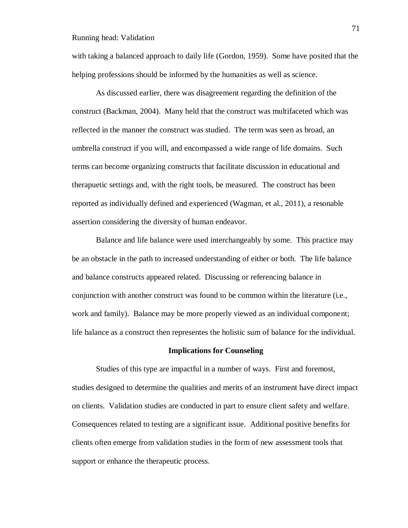with taking a balanced approach to daily life (Gordon, 1959). Some have posited that the helping professions should be informed by the humanities as well as science.

As discussed earlier, there was disagreement regarding the definition of the construct (Backman, 2004). Many held that the construct was multifaceted which was reflected in the manner the construct was studied. The term was seen as broad, an umbrella construct if you will, and encompassed a wide range of life domains. Such terms can become organizing constructs that facilitate discussion in educational and therapuetic settings and, with the right tools, be measured. The construct has been reported as individually defined and experienced (Wagman, et al., 2011), a resonable assertion considering the diversity of human endeavor.

Balance and life balance were used interchangeably by some. This practice may be an obstacle in the path to increased understanding of either or both. The life balance and balance constructs appeared related. Discussing or referencing balance in conjunction with another construct was found to be common within the literature (i.e., work and family). Balance may be more properly viewed as an individual component; life balance as a construct then representes the holistic sum of balance for the individual.

### **Implications for Counseling**

Studies of this type are impactful in a number of ways. First and foremost, studies designed to determine the qualities and merits of an instrument have direct impact on clients. Validation studies are conducted in part to ensure client safety and welfare. Consequences related to testing are a significant issue. Additional positive benefits for clients often emerge from validation studies in the form of new assessment tools that support or enhance the therapeutic process.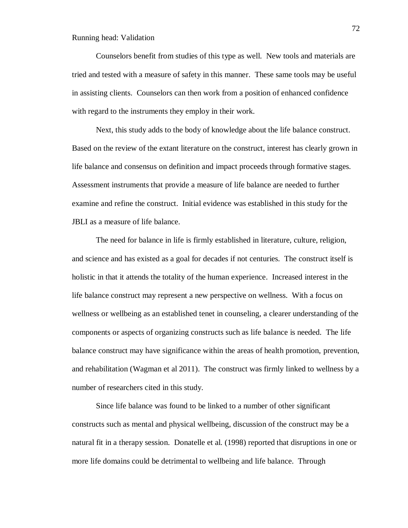Counselors benefit from studies of this type as well. New tools and materials are tried and tested with a measure of safety in this manner. These same tools may be useful in assisting clients. Counselors can then work from a position of enhanced confidence with regard to the instruments they employ in their work.

Next, this study adds to the body of knowledge about the life balance construct. Based on the review of the extant literature on the construct, interest has clearly grown in life balance and consensus on definition and impact proceeds through formative stages. Assessment instruments that provide a measure of life balance are needed to further examine and refine the construct. Initial evidence was established in this study for the JBLI as a measure of life balance.

The need for balance in life is firmly established in literature, culture, religion, and science and has existed as a goal for decades if not centuries. The construct itself is holistic in that it attends the totality of the human experience. Increased interest in the life balance construct may represent a new perspective on wellness. With a focus on wellness or wellbeing as an established tenet in counseling, a clearer understanding of the components or aspects of organizing constructs such as life balance is needed. The life balance construct may have significance within the areas of health promotion, prevention, and rehabilitation (Wagman et al 2011). The construct was firmly linked to wellness by a number of researchers cited in this study.

Since life balance was found to be linked to a number of other significant constructs such as mental and physical wellbeing, discussion of the construct may be a natural fit in a therapy session. Donatelle et al. (1998) reported that disruptions in one or more life domains could be detrimental to wellbeing and life balance. Through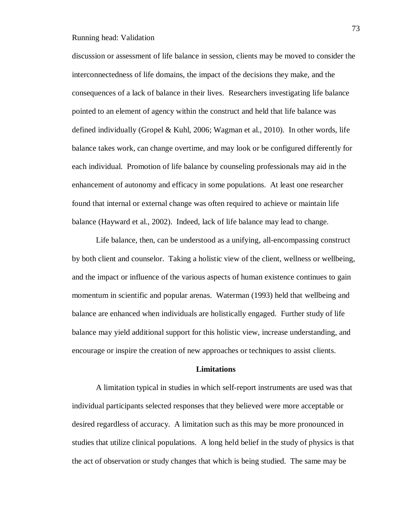discussion or assessment of life balance in session, clients may be moved to consider the interconnectedness of life domains, the impact of the decisions they make, and the consequences of a lack of balance in their lives. Researchers investigating life balance pointed to an element of agency within the construct and held that life balance was defined individually (Gropel & Kuhl, 2006; Wagman et al., 2010). In other words, life balance takes work, can change overtime, and may look or be configured differently for each individual. Promotion of life balance by counseling professionals may aid in the enhancement of autonomy and efficacy in some populations. At least one researcher found that internal or external change was often required to achieve or maintain life balance (Hayward et al., 2002). Indeed, lack of life balance may lead to change.

Life balance, then, can be understood as a unifying, all-encompassing construct by both client and counselor. Taking a holistic view of the client, wellness or wellbeing, and the impact or influence of the various aspects of human existence continues to gain momentum in scientific and popular arenas. Waterman (1993) held that wellbeing and balance are enhanced when individuals are holistically engaged. Further study of life balance may yield additional support for this holistic view, increase understanding, and encourage or inspire the creation of new approaches or techniques to assist clients.

#### **Limitations**

A limitation typical in studies in which self-report instruments are used was that individual participants selected responses that they believed were more acceptable or desired regardless of accuracy. A limitation such as this may be more pronounced in studies that utilize clinical populations. A long held belief in the study of physics is that the act of observation or study changes that which is being studied. The same may be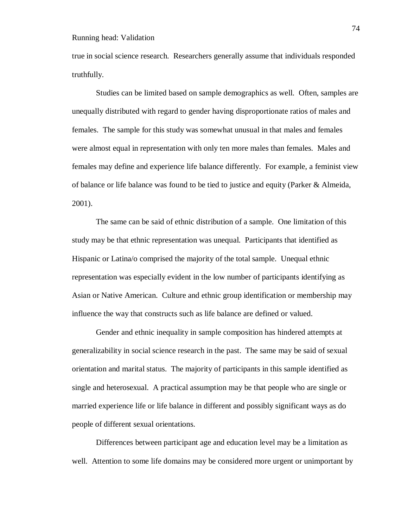true in social science research. Researchers generally assume that individuals responded truthfully.

Studies can be limited based on sample demographics as well. Often, samples are unequally distributed with regard to gender having disproportionate ratios of males and females. The sample for this study was somewhat unusual in that males and females were almost equal in representation with only ten more males than females. Males and females may define and experience life balance differently. For example, a feminist view of balance or life balance was found to be tied to justice and equity (Parker  $\&$  Almeida, 2001).

The same can be said of ethnic distribution of a sample. One limitation of this study may be that ethnic representation was unequal. Participants that identified as Hispanic or Latina/o comprised the majority of the total sample. Unequal ethnic representation was especially evident in the low number of participants identifying as Asian or Native American. Culture and ethnic group identification or membership may influence the way that constructs such as life balance are defined or valued.

Gender and ethnic inequality in sample composition has hindered attempts at generalizability in social science research in the past. The same may be said of sexual orientation and marital status. The majority of participants in this sample identified as single and heterosexual. A practical assumption may be that people who are single or married experience life or life balance in different and possibly significant ways as do people of different sexual orientations.

Differences between participant age and education level may be a limitation as well. Attention to some life domains may be considered more urgent or unimportant by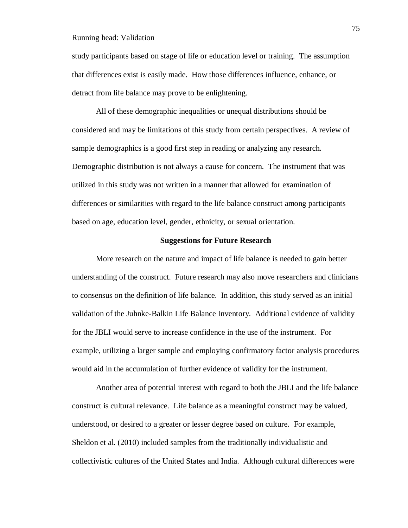study participants based on stage of life or education level or training. The assumption that differences exist is easily made. How those differences influence, enhance, or detract from life balance may prove to be enlightening.

All of these demographic inequalities or unequal distributions should be considered and may be limitations of this study from certain perspectives. A review of sample demographics is a good first step in reading or analyzing any research. Demographic distribution is not always a cause for concern. The instrument that was utilized in this study was not written in a manner that allowed for examination of differences or similarities with regard to the life balance construct among participants based on age, education level, gender, ethnicity, or sexual orientation.

## **Suggestions for Future Research**

More research on the nature and impact of life balance is needed to gain better understanding of the construct. Future research may also move researchers and clinicians to consensus on the definition of life balance. In addition, this study served as an initial validation of the Juhnke-Balkin Life Balance Inventory. Additional evidence of validity for the JBLI would serve to increase confidence in the use of the instrument. For example, utilizing a larger sample and employing confirmatory factor analysis procedures would aid in the accumulation of further evidence of validity for the instrument.

Another area of potential interest with regard to both the JBLI and the life balance construct is cultural relevance. Life balance as a meaningful construct may be valued, understood, or desired to a greater or lesser degree based on culture. For example, Sheldon et al. (2010) included samples from the traditionally individualistic and collectivistic cultures of the United States and India. Although cultural differences were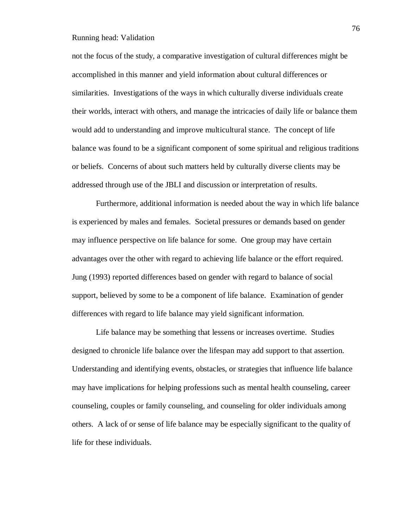not the focus of the study, a comparative investigation of cultural differences might be accomplished in this manner and yield information about cultural differences or similarities. Investigations of the ways in which culturally diverse individuals create their worlds, interact with others, and manage the intricacies of daily life or balance them would add to understanding and improve multicultural stance. The concept of life balance was found to be a significant component of some spiritual and religious traditions or beliefs. Concerns of about such matters held by culturally diverse clients may be addressed through use of the JBLI and discussion or interpretation of results.

Furthermore, additional information is needed about the way in which life balance is experienced by males and females. Societal pressures or demands based on gender may influence perspective on life balance for some. One group may have certain advantages over the other with regard to achieving life balance or the effort required. Jung (1993) reported differences based on gender with regard to balance of social support, believed by some to be a component of life balance. Examination of gender differences with regard to life balance may yield significant information.

Life balance may be something that lessens or increases overtime. Studies designed to chronicle life balance over the lifespan may add support to that assertion. Understanding and identifying events, obstacles, or strategies that influence life balance may have implications for helping professions such as mental health counseling, career counseling, couples or family counseling, and counseling for older individuals among others. A lack of or sense of life balance may be especially significant to the quality of life for these individuals.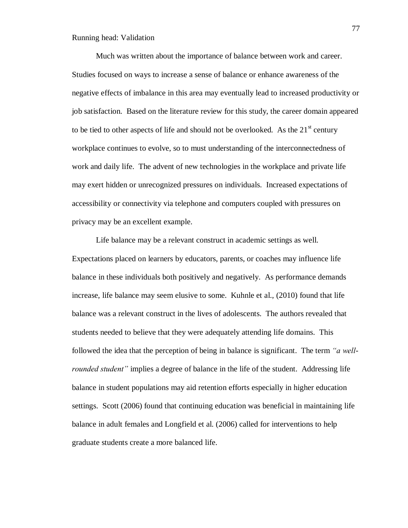Much was written about the importance of balance between work and career. Studies focused on ways to increase a sense of balance or enhance awareness of the negative effects of imbalance in this area may eventually lead to increased productivity or job satisfaction. Based on the literature review for this study, the career domain appeared to be tied to other aspects of life and should not be overlooked. As the  $21<sup>st</sup>$  century workplace continues to evolve, so to must understanding of the interconnectedness of work and daily life. The advent of new technologies in the workplace and private life may exert hidden or unrecognized pressures on individuals. Increased expectations of accessibility or connectivity via telephone and computers coupled with pressures on privacy may be an excellent example.

Life balance may be a relevant construct in academic settings as well. Expectations placed on learners by educators, parents, or coaches may influence life balance in these individuals both positively and negatively. As performance demands increase, life balance may seem elusive to some. Kuhnle et al., (2010) found that life balance was a relevant construct in the lives of adolescents. The authors revealed that students needed to believe that they were adequately attending life domains. This followed the idea that the perception of being in balance is significant. The term *"a wellrounded student"* implies a degree of balance in the life of the student. Addressing life balance in student populations may aid retention efforts especially in higher education settings. Scott (2006) found that continuing education was beneficial in maintaining life balance in adult females and Longfield et al. (2006) called for interventions to help graduate students create a more balanced life.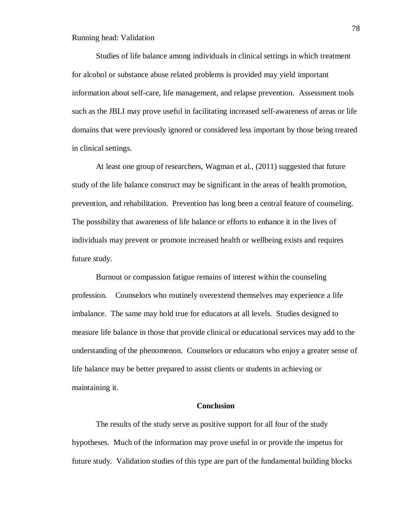Studies of life balance among individuals in clinical settings in which treatment for alcohol or substance abuse related problems is provided may yield important information about self-care, life management, and relapse prevention. Assessment tools such as the JBLI may prove useful in facilitating increased self-awareness of areas or life domains that were previously ignored or considered less important by those being treated in clinical settings.

At least one group of researchers, Wagman et al., (2011) suggested that future study of the life balance construct may be significant in the areas of health promotion, prevention, and rehabilitation. Prevention has long been a central feature of counseling. The possibility that awareness of life balance or efforts to enhance it in the lives of individuals may prevent or promote increased health or wellbeing exists and requires future study.

Burnout or compassion fatigue remains of interest within the counseling profession. Counselors who routinely overextend themselves may experience a life imbalance. The same may hold true for educators at all levels. Studies designed to measure life balance in those that provide clinical or educational services may add to the understanding of the phenomenon. Counselors or educators who enjoy a greater sense of life balance may be better prepared to assist clients or students in achieving or maintaining it.

### **Conclusion**

The results of the study serve as positive support for all four of the study hypotheses. Much of the information may prove useful in or provide the impetus for future study. Validation studies of this type are part of the fundamental building blocks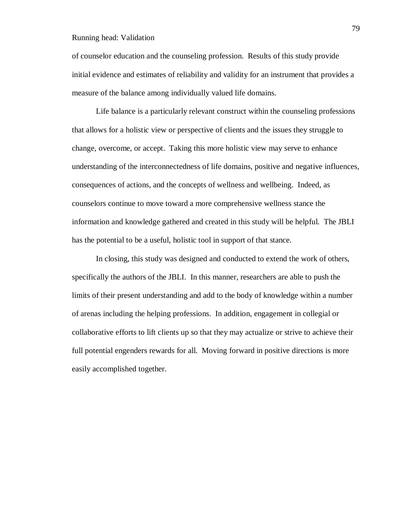of counselor education and the counseling profession. Results of this study provide initial evidence and estimates of reliability and validity for an instrument that provides a measure of the balance among individually valued life domains.

Life balance is a particularly relevant construct within the counseling professions that allows for a holistic view or perspective of clients and the issues they struggle to change, overcome, or accept. Taking this more holistic view may serve to enhance understanding of the interconnectedness of life domains, positive and negative influences, consequences of actions, and the concepts of wellness and wellbeing. Indeed, as counselors continue to move toward a more comprehensive wellness stance the information and knowledge gathered and created in this study will be helpful. The JBLI has the potential to be a useful, holistic tool in support of that stance.

In closing, this study was designed and conducted to extend the work of others, specifically the authors of the JBLI. In this manner, researchers are able to push the limits of their present understanding and add to the body of knowledge within a number of arenas including the helping professions. In addition, engagement in collegial or collaborative efforts to lift clients up so that they may actualize or strive to achieve their full potential engenders rewards for all. Moving forward in positive directions is more easily accomplished together.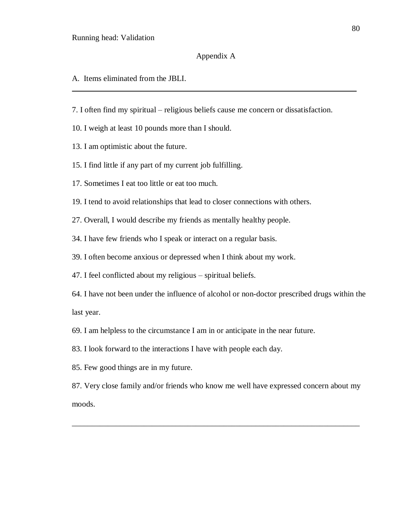# Appendix A

\_\_\_\_\_\_\_\_\_\_\_\_\_\_\_\_\_\_\_\_\_\_\_\_\_\_\_\_\_\_\_\_\_\_\_\_\_\_\_\_\_\_\_\_\_\_\_\_\_\_\_\_\_\_\_\_\_\_\_\_\_\_\_\_\_\_\_\_\_\_\_\_\_\_\_\_\_\_

- A. Items eliminated from the JBLI.
- 7. I often find my spiritual religious beliefs cause me concern or dissatisfaction.
- 10. I weigh at least 10 pounds more than I should.
- 13. I am optimistic about the future.
- 15. I find little if any part of my current job fulfilling.
- 17. Sometimes I eat too little or eat too much.
- 19. I tend to avoid relationships that lead to closer connections with others.
- 27. Overall, I would describe my friends as mentally healthy people.
- 34. I have few friends who I speak or interact on a regular basis.
- 39. I often become anxious or depressed when I think about my work.
- 47. I feel conflicted about my religious spiritual beliefs.
- 64. I have not been under the influence of alcohol or non-doctor prescribed drugs within the last year.
- 69. I am helpless to the circumstance I am in or anticipate in the near future.
- 83. I look forward to the interactions I have with people each day.
- 85. Few good things are in my future.
- 87. Very close family and/or friends who know me well have expressed concern about my moods.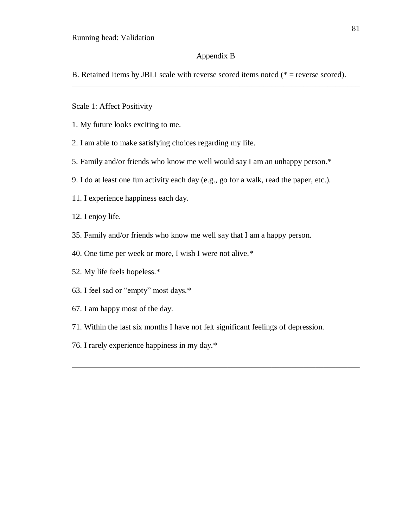# Appendix B

\_\_\_\_\_\_\_\_\_\_\_\_\_\_\_\_\_\_\_\_\_\_\_\_\_\_\_\_\_\_\_\_\_\_\_\_\_\_\_\_\_\_\_\_\_\_\_\_\_\_\_\_\_\_\_\_\_\_\_\_\_\_\_\_\_\_\_\_\_\_\_\_

B. Retained Items by JBLI scale with reverse scored items noted ( $*$  = reverse scored).

- Scale 1: Affect Positivity
- 1. My future looks exciting to me.
- 2. I am able to make satisfying choices regarding my life.
- 5. Family and/or friends who know me well would say I am an unhappy person.\*
- 9. I do at least one fun activity each day (e.g., go for a walk, read the paper, etc.).
- 11. I experience happiness each day.
- 12. I enjoy life.
- 35. Family and/or friends who know me well say that I am a happy person.
- 40. One time per week or more, I wish I were not alive.\*
- 52. My life feels hopeless.\*
- 63. I feel sad or "empty" most days.\*
- 67. I am happy most of the day.
- 71. Within the last six months I have not felt significant feelings of depression.

\_\_\_\_\_\_\_\_\_\_\_\_\_\_\_\_\_\_\_\_\_\_\_\_\_\_\_\_\_\_\_\_\_\_\_\_\_\_\_\_\_\_\_\_\_\_\_\_\_\_\_\_\_\_\_\_\_\_\_\_\_\_\_\_\_\_\_\_\_\_\_\_

76. I rarely experience happiness in my day.\*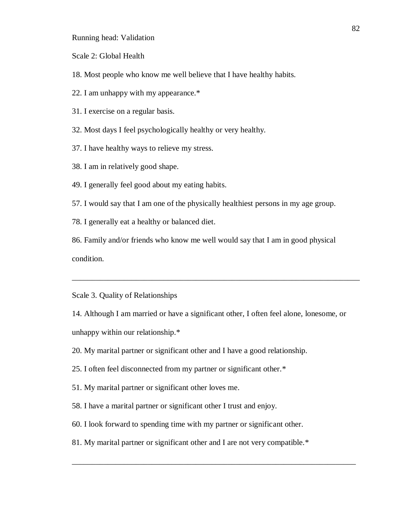Scale 2: Global Health

18. Most people who know me well believe that I have healthy habits.

22. I am unhappy with my appearance.\*

31. I exercise on a regular basis.

32. Most days I feel psychologically healthy or very healthy.

37. I have healthy ways to relieve my stress.

38. I am in relatively good shape.

49. I generally feel good about my eating habits.

57. I would say that I am one of the physically healthiest persons in my age group.

78. I generally eat a healthy or balanced diet.

86. Family and/or friends who know me well would say that I am in good physical condition.

Scale 3. Quality of Relationships

14. Although I am married or have a significant other, I often feel alone, lonesome, or unhappy within our relationship.\*

\_\_\_\_\_\_\_\_\_\_\_\_\_\_\_\_\_\_\_\_\_\_\_\_\_\_\_\_\_\_\_\_\_\_\_\_\_\_\_\_\_\_\_\_\_\_\_\_\_\_\_\_\_\_\_\_\_\_\_\_\_\_\_\_\_\_\_\_\_\_\_\_

20. My marital partner or significant other and I have a good relationship.

25. I often feel disconnected from my partner or significant other.\*

51. My marital partner or significant other loves me.

58. I have a marital partner or significant other I trust and enjoy.

60. I look forward to spending time with my partner or significant other.

81. My marital partner or significant other and I are not very compatible.\*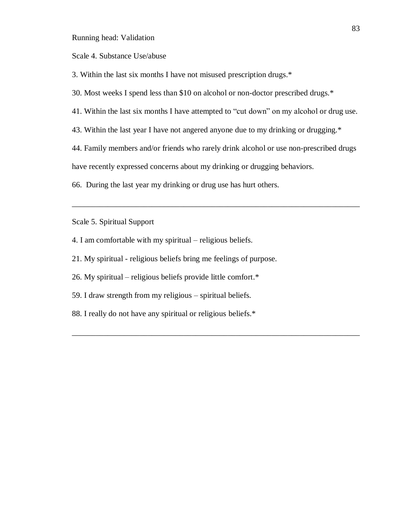Scale 4. Substance Use/abuse

3. Within the last six months I have not misused prescription drugs.\*

30. Most weeks I spend less than \$10 on alcohol or non-doctor prescribed drugs.\*

41. Within the last six months I have attempted to "cut down" on my alcohol or drug use.

43. Within the last year I have not angered anyone due to my drinking or drugging.\*

44. Family members and/or friends who rarely drink alcohol or use non-prescribed drugs

\_\_\_\_\_\_\_\_\_\_\_\_\_\_\_\_\_\_\_\_\_\_\_\_\_\_\_\_\_\_\_\_\_\_\_\_\_\_\_\_\_\_\_\_\_\_\_\_\_\_\_\_\_\_\_\_\_\_\_\_\_\_\_\_\_\_\_\_\_\_\_\_

\_\_\_\_\_\_\_\_\_\_\_\_\_\_\_\_\_\_\_\_\_\_\_\_\_\_\_\_\_\_\_\_\_\_\_\_\_\_\_\_\_\_\_\_\_\_\_\_\_\_\_\_\_\_\_\_\_\_\_\_\_\_\_\_\_\_\_\_\_\_\_\_

have recently expressed concerns about my drinking or drugging behaviors.

66. During the last year my drinking or drug use has hurt others.

Scale 5. Spiritual Support

- 4. I am comfortable with my spiritual religious beliefs.
- 21. My spiritual religious beliefs bring me feelings of purpose.
- 26. My spiritual religious beliefs provide little comfort.\*
- 59. I draw strength from my religious spiritual beliefs.
- 88. I really do not have any spiritual or religious beliefs.\*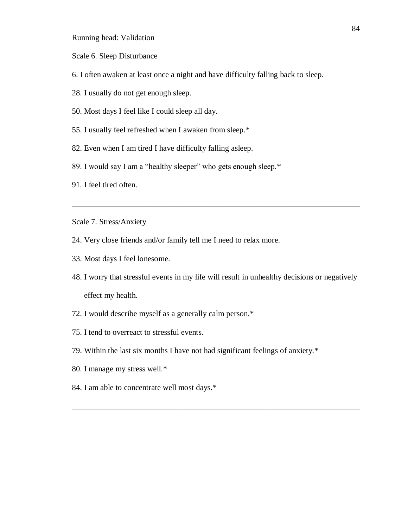Scale 6. Sleep Disturbance

- 6. I often awaken at least once a night and have difficulty falling back to sleep.
- 28. I usually do not get enough sleep.
- 50. Most days I feel like I could sleep all day.
- 55. I usually feel refreshed when I awaken from sleep.\*
- 82. Even when I am tired I have difficulty falling asleep.
- 89. I would say I am a "healthy sleeper" who gets enough sleep.\*
- 91. I feel tired often.

Scale 7. Stress/Anxiety

- 24. Very close friends and/or family tell me I need to relax more.
- 33. Most days I feel lonesome.
- 48. I worry that stressful events in my life will result in unhealthy decisions or negatively effect my health.

\_\_\_\_\_\_\_\_\_\_\_\_\_\_\_\_\_\_\_\_\_\_\_\_\_\_\_\_\_\_\_\_\_\_\_\_\_\_\_\_\_\_\_\_\_\_\_\_\_\_\_\_\_\_\_\_\_\_\_\_\_\_\_\_\_\_\_\_\_\_\_\_

- 72. I would describe myself as a generally calm person.\*
- 75. I tend to overreact to stressful events.
- 79. Within the last six months I have not had significant feelings of anxiety.\*
- 80. I manage my stress well.\*
- 84. I am able to concentrate well most days.\*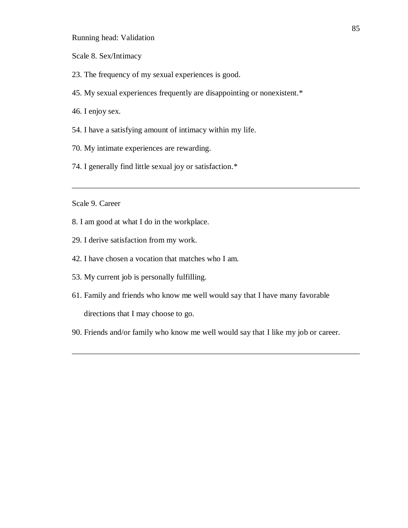Scale 8. Sex/Intimacy

- 23. The frequency of my sexual experiences is good.
- 45. My sexual experiences frequently are disappointing or nonexistent.\*
- 46. I enjoy sex.
- 54. I have a satisfying amount of intimacy within my life.
- 70. My intimate experiences are rewarding.
- 74. I generally find little sexual joy or satisfaction.\*

# Scale 9. Career

- 8. I am good at what I do in the workplace.
- 29. I derive satisfaction from my work.
- 42. I have chosen a vocation that matches who I am.
- 53. My current job is personally fulfilling.
- 61. Family and friends who know me well would say that I have many favorable directions that I may choose to go.

\_\_\_\_\_\_\_\_\_\_\_\_\_\_\_\_\_\_\_\_\_\_\_\_\_\_\_\_\_\_\_\_\_\_\_\_\_\_\_\_\_\_\_\_\_\_\_\_\_\_\_\_\_\_\_\_\_\_\_\_\_\_\_\_\_\_\_\_\_\_\_\_

90. Friends and/or family who know me well would say that I like my job or career.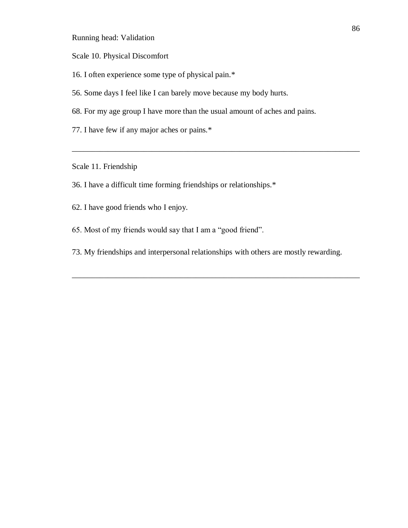- Scale 10. Physical Discomfort
- 16. I often experience some type of physical pain.\*
- 56. Some days I feel like I can barely move because my body hurts.
- 68. For my age group I have more than the usual amount of aches and pains.
- 77. I have few if any major aches or pains.\*

Scale 11. Friendship

- 36. I have a difficult time forming friendships or relationships.\*
- 62. I have good friends who I enjoy.
- 65. Most of my friends would say that I am a "good friend".
- 73. My friendships and interpersonal relationships with others are mostly rewarding.

\_\_\_\_\_\_\_\_\_\_\_\_\_\_\_\_\_\_\_\_\_\_\_\_\_\_\_\_\_\_\_\_\_\_\_\_\_\_\_\_\_\_\_\_\_\_\_\_\_\_\_\_\_\_\_\_\_\_\_\_\_\_\_\_\_\_\_\_\_\_\_\_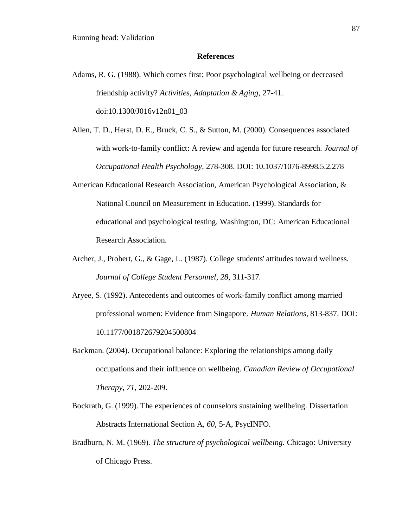#### **References**

- Adams, R. G. (1988). Which comes first: Poor psychological wellbeing or decreased friendship activity? *Activities, Adaptation & Aging*, 27-41. doi:10.1300/J016v12n01\_03
- Allen, T. D., Herst, D. E., Bruck, C. S., & Sutton, M. (2000). Consequences associated with work-to-family conflict: A review and agenda for future research. *Journal of Occupational Health Psychology*, 278-308. DOI: 10.1037/1076-8998.5.2.278
- American Educational Research Association, American Psychological Association, & National Council on Measurement in Education. (1999). Standards for educational and psychological testing. Washington, DC: American Educational Research Association.
- Archer, J., Probert, G., & Gage, L. (1987). College students' attitudes toward wellness. *Journal of College Student Personnel*, *28*, 311-317.
- Aryee, S. (1992). Antecedents and outcomes of work-family conflict among married professional women: Evidence from Singapore. *Human Relations*, 813-837. DOI: 10.1177/001872679204500804
- Backman. (2004). Occupational balance: Exploring the relationships among daily occupations and their influence on wellbeing. *Canadian Review of Occupational Therapy*, *71*, 202-209.
- Bockrath, G. (1999). The experiences of counselors sustaining wellbeing. Dissertation Abstracts International Section A, *60*, 5-A, PsycINFO.
- Bradburn, N. M. (1969). *The structure of psychological wellbeing.* Chicago: University of Chicago Press.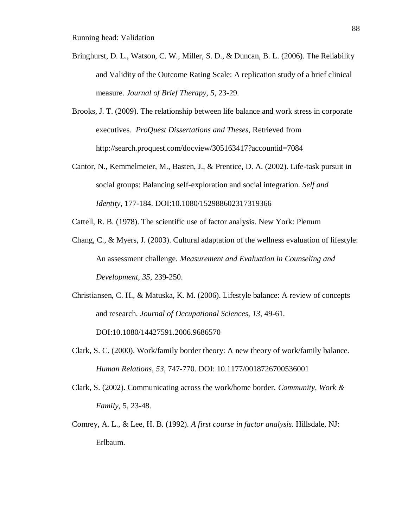- Bringhurst, D. L., Watson, C. W., Miller, S. D., & Duncan, B. L. (2006). The Reliability and Validity of the Outcome Rating Scale: A replication study of a brief clinical measure. *Journal of Brief Therapy*, *5*, 23-29.
- Brooks, J. T. (2009). The relationship between life balance and work stress in corporate executives*. ProQuest Dissertations and Theses,* Retrieved from http://search.proquest.com/docview/305163417?accountid=7084
- Cantor, N., Kemmelmeier, M., Basten, J., & Prentice, D. A. (2002). Life-task pursuit in social groups: Balancing self-exploration and social integration. *Self and Identity*, 177-184. DOI:10.1080/152988602317319366

Cattell, R. B. (1978). The scientific use of factor analysis. New York: Plenum

- Chang, C., & Myers, J. (2003). Cultural adaptation of the wellness evaluation of lifestyle: An assessment challenge. *Measurement and Evaluation in Counseling and Development*, *35*, 239-250.
- Christiansen, C. H., & Matuska, K. M. (2006). Lifestyle balance: A review of concepts and research. *Journal of Occupational Sciences*, *13*, 49-61. DOI:10.1080/14427591.2006.9686570
- Clark, S. C. (2000). Work/family border theory: A new theory of work/family balance. *Human Relations*, *53,* 747-770. DOI: 10.1177/0018726700536001
- Clark, S. (2002). Communicating across the work/home border. *Community, Work & Family*, 5, 23-48.
- Comrey, A. L., & Lee, H. B. (1992). *A first course in factor analysis*. Hillsdale, NJ: Erlbaum.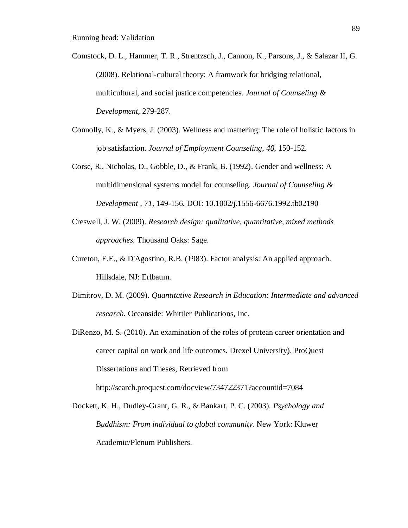- Comstock, D. L., Hammer, T. R., Strentzsch, J., Cannon, K., Parsons, J., & Salazar II, G. (2008). Relational-cultural theory: A framwork for bridging relational, multicultural, and social justice competencies. *Journal of Counseling & Development*, 279-287.
- Connolly, K., & Myers, J. (2003). Wellness and mattering: The role of holistic factors in job satisfaction. *Journal of Employment Counseling*, *40*, 150-152.
- Corse, R., Nicholas, D., Gobble, D., & Frank, B. (1992). Gender and wellness: A multidimensional systems model for counseling. *Journal of Counseling & Development* , *71*, 149-156. DOI: 10.1002/j.1556-6676.1992.tb02190
- Creswell, J. W. (2009). *Research design: qualitative, quantitative, mixed methods approaches.* Thousand Oaks: Sage.
- Cureton, E.E., & D'Agostino, R.B. (1983). Factor analysis: An applied approach. Hillsdale, NJ: Erlbaum.
- Dimitrov, D. M. (2009). *Quantitative Research in Education: Intermediate and advanced research.* Oceanside: Whittier Publications, Inc.
- DiRenzo, M. S. (2010). An examination of the roles of protean career orientation and career capital on work and life outcomes. Drexel University). ProQuest Dissertations and Theses, Retrieved from http://search.proquest.com/docview/734722371?accountid=7084
- Dockett, K. H., Dudley-Grant, G. R., & Bankart, P. C. (2003). *Psychology and Buddhism: From individual to global community.* New York: Kluwer Academic/Plenum Publishers.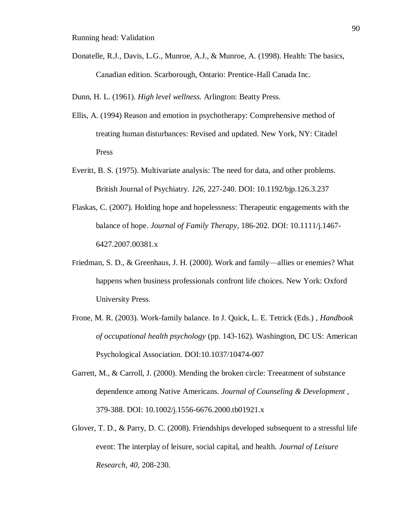Donatelle, R.J., Davis, L.G., Munroe, A.J., & Munroe, A. (1998). Health: The basics, Canadian edition. Scarborough, Ontario: Prentice-Hall Canada Inc.

Dunn, H. L. (1961). *High level wellness.* Arlington: Beatty Press.

- Ellis, A. (1994) Reason and emotion in psychotherapy: Comprehensive method of treating human disturbances: Revised and updated. New York, NY: Citadel Press
- Everitt, B. S. (1975). Multivariate analysis: The need for data, and other problems. British Journal of Psychiatry. *126*, 227-240. DOI: 10.1192/bjp.126.3.237
- Flaskas, C. (2007). Holding hope and hopelessness: Therapeutic engagements with the balance of hope. *Journal of Family Therapy*, 186-202. DOI: 10.1111/j.1467- 6427.2007.00381.x
- Friedman, S. D., & Greenhaus, J. H. (2000). Work and family—allies or enemies? What happens when business professionals confront life choices. New York: Oxford University Press.
- Frone, M. R. (2003). Work-family balance. In J. Quick, L. E. Tetrick (Eds.) , *Handbook of occupational health psychology* (pp. 143-162). Washington, DC US: American Psychological Association. DOI:10.1037/10474-007
- Garrett, M., & Carroll, J. (2000). Mending the broken circle: Treeatment of substance dependence among Native Americans. *Journal of Counseling & Development* , 379-388. DOI: 10.1002/j.1556-6676.2000.tb01921.x
- Glover, T. D., & Parry, D. C. (2008). Friendships developed subsequent to a stressful life event: The interplay of leisure, social capital, and health. *Journal of Leisure Research*, *40*, 208-230.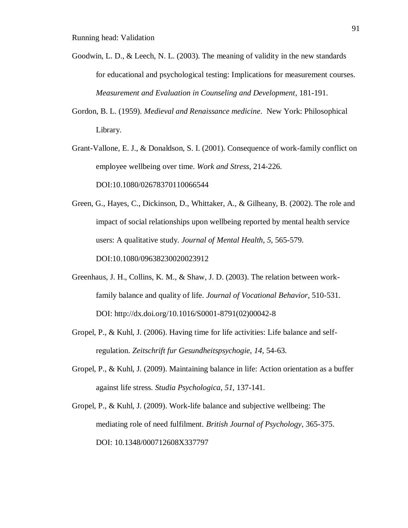- Goodwin, L. D., & Leech, N. L. (2003). The meaning of validity in the new standards for educational and psychological testing: Implications for measurement courses. *Measurement and Evaluation in Counseling and Development*, 181-191.
- Gordon, B. L. (1959). *Medieval and Renaissance medicine*. New York: Philosophical Library.

Grant-Vallone, E. J., & Donaldson, S. I. (2001). Consequence of work-family conflict on employee wellbeing over time. *Work and Stress*, 214-226. DOI:10.1080/02678370110066544

Green, G., Hayes, C., Dickinson, D., Whittaker, A., & Gilheany, B. (2002). The role and impact of social relationships upon wellbeing reported by mental health service users: A qualitative study. *Journal of Mental Health*, *5*, 565-579. DOI:10.1080/09638230020023912

- Greenhaus, J. H., Collins, K. M., & Shaw, J. D. (2003). The relation between workfamily balance and quality of life. *Journal of Vocational Behavior*, 510-531. DOI: http://dx.doi.org/10.1016/S0001-8791(02)00042-8
- Gropel, P., & Kuhl, J. (2006). Having time for life activities: Life balance and selfregulation. *Zeitschrift fur Gesundheitspsychogie*, *14*, 54-63.
- Gropel, P., & Kuhl, J. (2009). Maintaining balance in life: Action orientation as a buffer against life stress. *Studia Psychologica*, *51*, 137-141.
- Gropel, P., & Kuhl, J. (2009). Work-life balance and subjective wellbeing: The mediating role of need fulfilment. *British Journal of Psychology*, 365-375. DOI: 10.1348/000712608X337797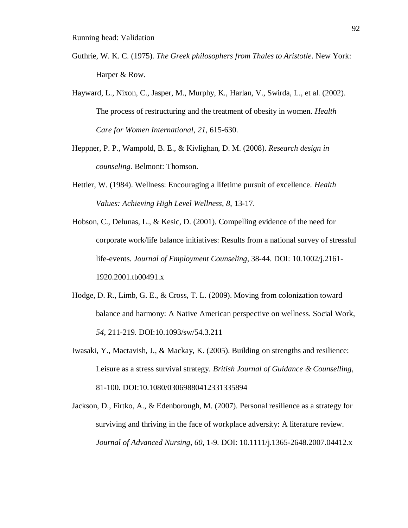Guthrie, W. K. C. (1975). *The Greek philosophers from Thales to Aristotle*. New York: Harper & Row.

Hayward, L., Nixon, C., Jasper, M., Murphy, K., Harlan, V., Swirda, L., et al. (2002). The process of restructuring and the treatment of obesity in women. *Health Care for Women International*, *21*, 615-630.

- Heppner, P. P., Wampold, B. E., & Kivlighan, D. M. (2008). *Research design in counseling.* Belmont: Thomson.
- Hettler, W. (1984). Wellness: Encouraging a lifetime pursuit of excellence. *Health Values: Achieving High Level Wellness*, *8*, 13-17.
- Hobson, C., Delunas, L., & Kesic, D. (2001). Compelling evidence of the need for corporate work/life balance initiatives: Results from a national survey of stressful life-events. *Journal of Employment Counseling*, 38-44. DOI: 10.1002/j.2161- 1920.2001.tb00491.x
- Hodge, D. R., Limb, G. E., & Cross, T. L. (2009). Moving from colonization toward balance and harmony: A Native American perspective on wellness. Social Work, *54*, 211-219. DOI:10.1093/sw/54.3.211
- Iwasaki, Y., Mactavish, J., & Mackay, K. (2005). Building on strengths and resilience: Leisure as a stress survival strategy. *British Journal of Guidance & Counselling*, 81-100. DOI:10.1080/03069880412331335894
- Jackson, D., Firtko, A., & Edenborough, M. (2007). Personal resilience as a strategy for surviving and thriving in the face of workplace adversity: A literature review. *Journal of Advanced Nursing*, *60*, 1-9. DOI: 10.1111/j.1365-2648.2007.04412.x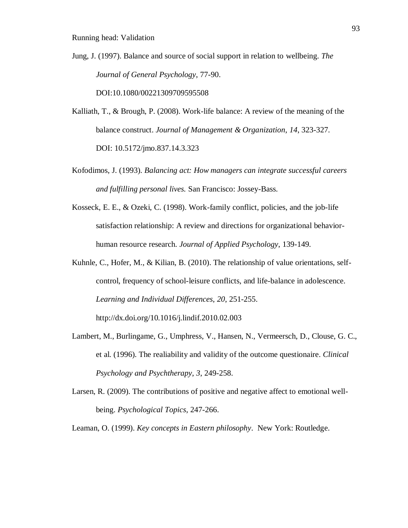Jung, J. (1997). Balance and source of social support in relation to wellbeing. *The Journal of General Psychology*, 77-90.

DOI:10.1080/00221309709595508

- Kalliath, T., & Brough, P. (2008). Work-life balance: A review of the meaning of the balance construct. *Journal of Management & Organization*, *14*, 323-327. DOI: 10.5172/jmo.837.14.3.323
- Kofodimos, J. (1993). *Balancing act: How managers can integrate successful careers and fulfilling personal lives.* San Francisco: Jossey-Bass.
- Kosseck, E. E., & Ozeki, C. (1998). Work-family conflict, policies, and the job-life satisfaction relationship: A review and directions for organizational behaviorhuman resource research. *Journal of Applied Psychology*, 139-149.
- Kuhnle, C., Hofer, M., & Kilian, B. (2010). The relationship of value orientations, selfcontrol, frequency of school-leisure conflicts, and life-balance in adolescence. *Learning and Individual Differences*, *20*, 251-255. http://dx.doi.org/10.1016/j.lindif.2010.02.003
- Lambert, M., Burlingame, G., Umphress, V., Hansen, N., Vermeersch, D., Clouse, G. C., et al. (1996). The realiability and validity of the outcome questionaire. *Clinical Psychology and Psychtherapy*, *3*, 249-258.
- Larsen, R. (2009). The contributions of positive and negative affect to emotional wellbeing. *Psychological Topics*, 247-266.

Leaman, O. (1999). *Key concepts in Eastern philosophy*. New York: Routledge.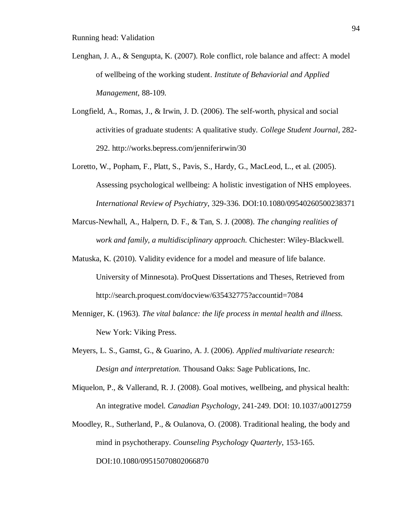- Lenghan, J. A., & Sengupta, K. (2007). Role conflict, role balance and affect: A model of wellbeing of the working student. *Institute of Behaviorial and Applied Management*, 88-109.
- Longfield, A., Romas, J., & Irwin, J. D. (2006). The self-worth, physical and social activities of graduate students: A qualitative study. *College Student Journal*, 282- 292. http://works.bepress.com/jenniferirwin/30
- Loretto, W., Popham, F., Platt, S., Pavis, S., Hardy, G., MacLeod, L., et al. (2005). Assessing psychological wellbeing: A holistic investigation of NHS employees. *International Review of Psychiatry*, 329-336. DOI:10.1080/09540260500238371
- Marcus-Newhall, A., Halpern, D. F., & Tan, S. J. (2008). *The changing realities of work and family, a multidisciplinary approach.* Chichester: Wiley-Blackwell.
- Matuska, K. (2010). Validity evidence for a model and measure of life balance. University of Minnesota). ProQuest Dissertations and Theses, Retrieved from http://search.proquest.com/docview/635432775?accountid=7084
- Menniger, K. (1963). *The vital balance: the life process in mental health and illness.* New York: Viking Press.
- Meyers, L. S., Gamst, G., & Guarino, A. J. (2006). *Applied multivariate research: Design and interpretation.* Thousand Oaks: Sage Publications, Inc.
- Miquelon, P., & Vallerand, R. J. (2008). Goal motives, wellbeing, and physical health: An integrative model. *Canadian Psychology*, 241-249. DOI: 10.1037/a0012759
- Moodley, R., Sutherland, P., & Oulanova, O. (2008). Traditional healing, the body and mind in psychotherapy. *Counseling Psychology Quarterly*, 153-165. DOI:10.1080/09515070802066870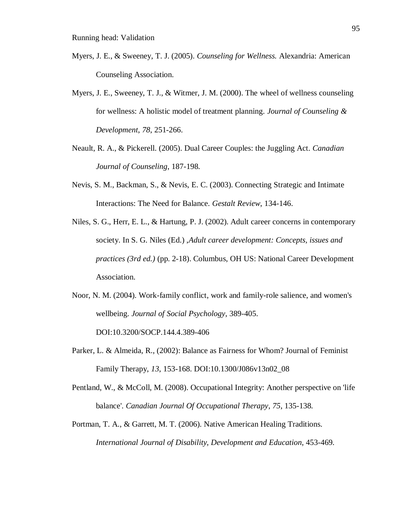- Myers, J. E., & Sweeney, T. J. (2005). *Counseling for Wellness.* Alexandria: American Counseling Association.
- Myers, J. E., Sweeney, T. J., & Witmer, J. M. (2000). The wheel of wellness counseling for wellness: A holistic model of treatment planning. *Journal of Counseling & Development*, *78*, 251-266.
- Neault, R. A., & Pickerell. (2005). Dual Career Couples: the Juggling Act. *Canadian Journal of Counseling*, 187-198.
- Nevis, S. M., Backman, S., & Nevis, E. C. (2003). Connecting Strategic and Intimate Interactions: The Need for Balance. *Gestalt Review*, 134-146.
- Niles, S. G., Herr, E. L., & Hartung, P. J. (2002). Adult career concerns in contemporary society. In S. G. Niles (Ed.) ,*Adult career development: Concepts, issues and practices (3rd ed.)* (pp. 2-18). Columbus, OH US: National Career Development Association.
- Noor, N. M. (2004). Work-family conflict, work and family-role salience, and women's wellbeing. *Journal of Social Psychology*, 389-405. DOI:10.3200/SOCP.144.4.389-406
- Parker, L. & Almeida, R., (2002): Balance as Fairness for Whom? Journal of Feminist Family Therapy, *13*, 153-168. DOI:10.1300/J086v13n02\_08
- Pentland, W., & McColl, M. (2008). Occupational Integrity: Another perspective on 'life balance'. *Canadian Journal Of Occupational Therapy*, *75*, 135-138.
- Portman, T. A., & Garrett, M. T. (2006). Native American Healing Traditions. *International Journal of Disability, Development and Education*, 453-469.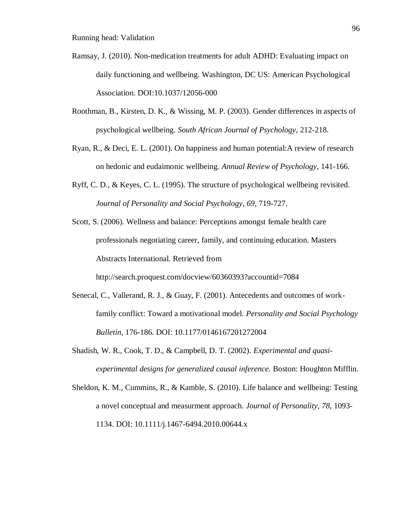- Ramsay, J. (2010). Non-medication treatments for adult ADHD: Evaluating impact on daily functioning and wellbeing. Washington, DC US: American Psychological Association. DOI:10.1037/12056-000
- Roothman, B., Kirsten, D. K., & Wissing, M. P. (2003). Gender differences in aspects of psychological wellbeing. *South African Journal of Psychology*, 212-218.
- Ryan, R., & Deci, E. L. (2001). On happiness and human potential:A review of research on hedonic and eudaimonic wellbeing. *Annual Review of Psychology*, 141-166.
- Ryff, C. D., & Keyes, C. L. (1995). The structure of psychological wellbeing revisited. *Journal of Personality and Social Psychology*, *69*, 719-727.
- Scott, S. (2006). Wellness and balance: Perceptions amongst female health care professionals negotiating career, family, and continuing education. Masters Abstracts International. Retrieved from

http://search.proquest.com/docview/60360393?accountid=7084

- Senecal, C., Vallerand, R. J., & Guay, F. (2001). Antecedents and outcomes of workfamily conflict: Toward a motivational model. *Personality and Social Psychology Bulletin*, 176-186. DOI: 10.1177/0146167201272004
- Shadish, W. R., Cook, T. D., & Campbell, D. T. (2002). *Experimental and quasiexperimental designs for generalized causal inference.* Boston: Houghton Mifflin.
- Sheldon, K. M., Cummins, R., & Kamble, S. (2010). Life balance and wellbeing: Testing a novel conceptual and measurment approach. *Journal of Personality*, *78*, 1093- 1134. DOI: 10.1111/j.1467-6494.2010.00644.x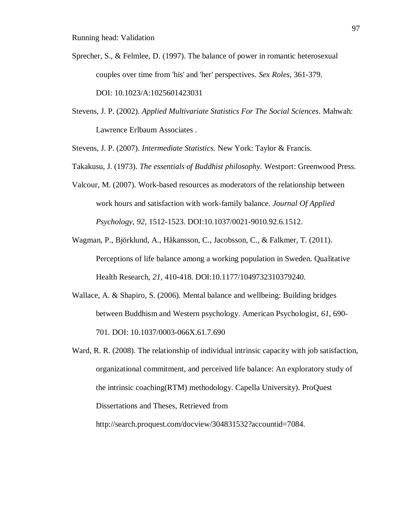Sprecher, S., & Felmlee, D. (1997). The balance of power in romantic heterosexual couples over time from 'his' and 'her' perspectives. *Sex Roles*, 361-379.

DOI: 10.1023/A:1025601423031

- Stevens, J. P. (2002). *Applied Multivariate Statistics For The Social Sciences.* Mahwah: Lawrence Erlbaum Associates .
- Stevens, J. P. (2007). *Intermediate Statistics.* New York: Taylor & Francis.
- Takakusu, J. (1973). *The essentials of Buddhist philosophy.* Westport: Greenwood Press.
- Valcour, M. (2007). Work-based resources as moderators of the relationship between work hours and satisfaction with work-family balance. *Journal Of Applied Psychology*, *92*, 1512-1523. DOI:10.1037/0021-9010.92.6.1512.
- Wagman, P., Björklund, A., Håkansson, C., Jacobsson, C., & Falkmer, T. (2011). Perceptions of life balance among a working population in Sweden. Qualitative Health Research, *21*, 410-418. DOI:10.1177/1049732310379240.
- Wallace, A. & Shapiro, S. (2006). Mental balance and wellbeing: Building bridges between Buddhism and Western psychology. American Psychologist, *61*, 690- 701. DOI: 10.1037/0003-066X.61.7.690
- Ward, R. R. (2008). The relationship of individual intrinsic capacity with job satisfaction, organizational commitment, and perceived life balance: An exploratory study of the intrinsic coaching(RTM) methodology. Capella University). ProQuest Dissertations and Theses, Retrieved from

http://search.proquest.com/docview/304831532?accountid=7084.